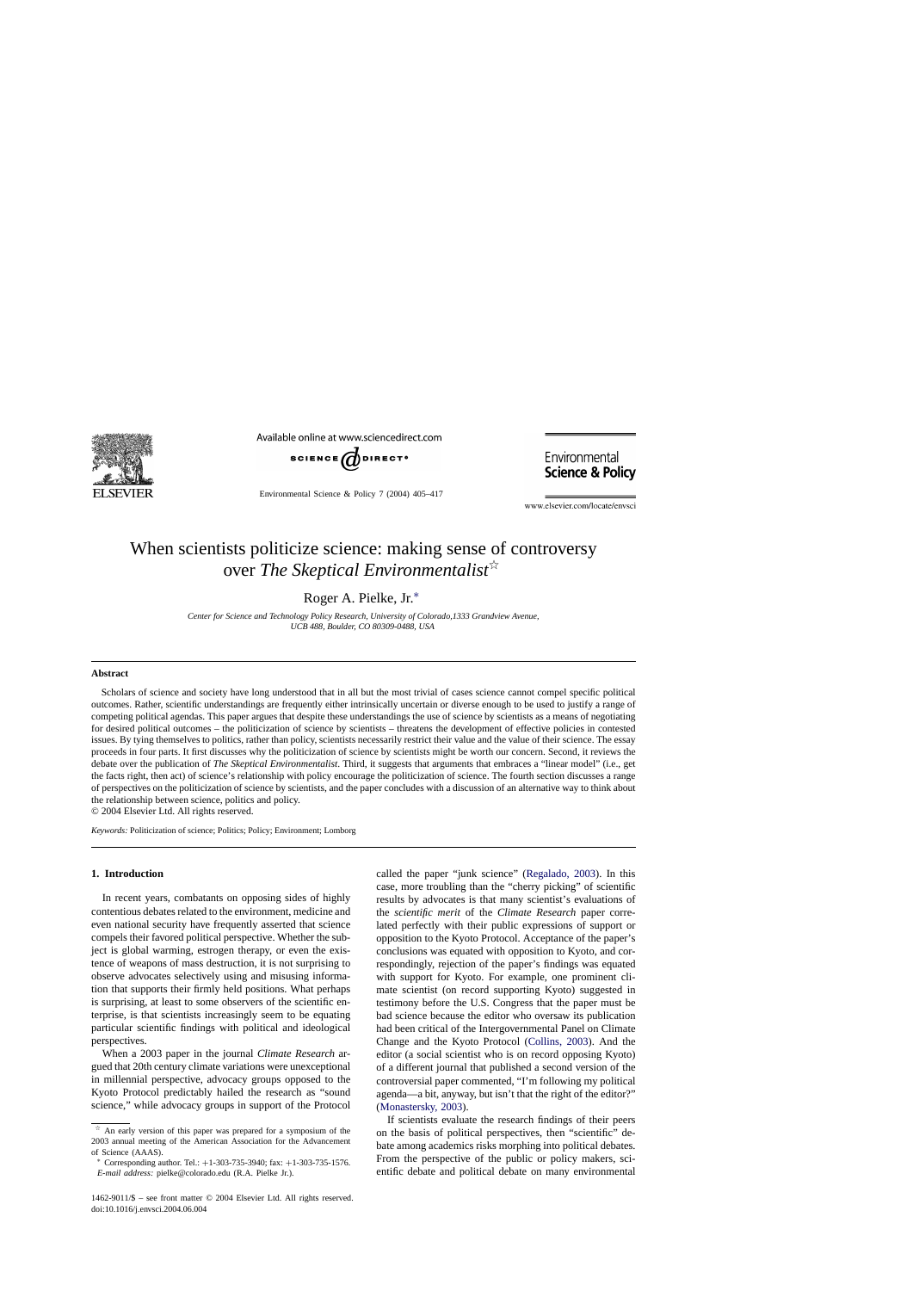

Available online at www.sciencedirect.com



Environmental Science & Policy 7 (2004) 405–417

Environmental **Science & Policy** 

www.elsevier.com/locate/envsci

# When scientists politicize science: making sense of controversy over *The Skeptical Environmentalist*

Roger A. Pielke, Jr.∗

*Center for Science and Technology Policy Research, University of Colorado,1333 Grandview Avenue, UCB 488, Boulder, CO 80309-0488, USA*

#### **Abstract**

Scholars of science and society have long understood that in all but the most trivial of cases science cannot compel specific political outcomes. Rather, scientific understandings are frequently either intrinsically uncertain or diverse enough to be used to justify a range of competing political agendas. This paper argues that despite these understandings the use of science by scientists as a means of negotiating for desired political outcomes – the politicization of science by scientists – threatens the development of effective policies in contested issues. By tying themselves to politics, rather than policy, scientists necessarily restrict their value and the value of their science. The essay proceeds in four parts. It first discusses why the politicization of science by scientists might be worth our concern. Second, it reviews the debate over the publication of *The Skeptical Environmentalist*. Third, it suggests that arguments that embraces a "linear model" (i.e., get the facts right, then act) of science's relationship with policy encourage the politicization of science. The fourth section discusses a range of perspectives on the politicization of science by scientists, and the paper concludes with a discussion of an alternative way to think about the relationship between science, politics and policy.

© 2004 Elsevier Ltd. All rights reserved.

*Keywords:* Politicization of science; Politics; Policy; Environment; Lomborg

## **1. Introduction**

In recent years, combatants on opposing sides of highly contentious debates related to the environment, medicine and even national security have frequently asserted that science compels their favored political perspective. Whether the subject is global warming, estrogen therapy, or even the existence of weapons of mass destruction, it is not surprising to observe advocates selectively using and misusing information that supports their firmly held positions. What perhaps is surprising, at least to some observers of the scientific enterprise, is that scientists increasingly seem to be equating particular scientific findings with political and ideological perspectives.

When a 2003 paper in the journal *Climate Research* argued that 20th century climate variations were unexceptional in millennial perspective, advocacy groups opposed to the Kyoto Protocol predictably hailed the research as "sound science," while advocacy groups in support of the Protocol called the paper "junk science" ([Regalado, 2003\).](#page-11-0) In this case, more troubling than the "cherry picking" of scientific results by advocates is that many scientist's evaluations of the *scientific merit* of the *Climate Research* paper correlated perfectly with their public expressions of support or opposition to the Kyoto Protocol. Acceptance of the paper's conclusions was equated with opposition to Kyoto, and correspondingly, rejection of the paper's findings was equated with support for Kyoto. For example, one prominent climate scientist (on record supporting Kyoto) suggested in testimony before the U.S. Congress that the paper must be bad science because the editor who oversaw its publication had been critical of the Intergovernmental Panel on Climate Change and the Kyoto Protocol [\(Collins, 2003\).](#page-10-0) And the editor (a social scientist who is on record opposing Kyoto) of a different journal that published a second version of the controversial paper commented, "I'm following my political agenda—a bit, anyway, but isn't that the right of the editor?" ([Monastersky, 2003\).](#page-11-0)

If scientists evaluate the research findings of their peers on the basis of political perspectives, then "scientific" debate among academics risks morphing into political debates. From the perspective of the public or policy makers, scientific debate and political debate on many environmental

 $\overrightarrow{r}$  An early version of this paper was prepared for a symposium of the 2003 annual meeting of the American Association for the Advancement of Science (AAAS).

<sup>∗</sup> Corresponding author. Tel.: +1-303-735-3940; fax: +1-303-735-1576. *E-mail address:* pielke@colorado.edu (R.A. Pielke Jr.).

<sup>1462-9011/\$ –</sup> see front matter © 2004 Elsevier Ltd. All rights reserved. doi:10.1016/j.envsci.2004.06.004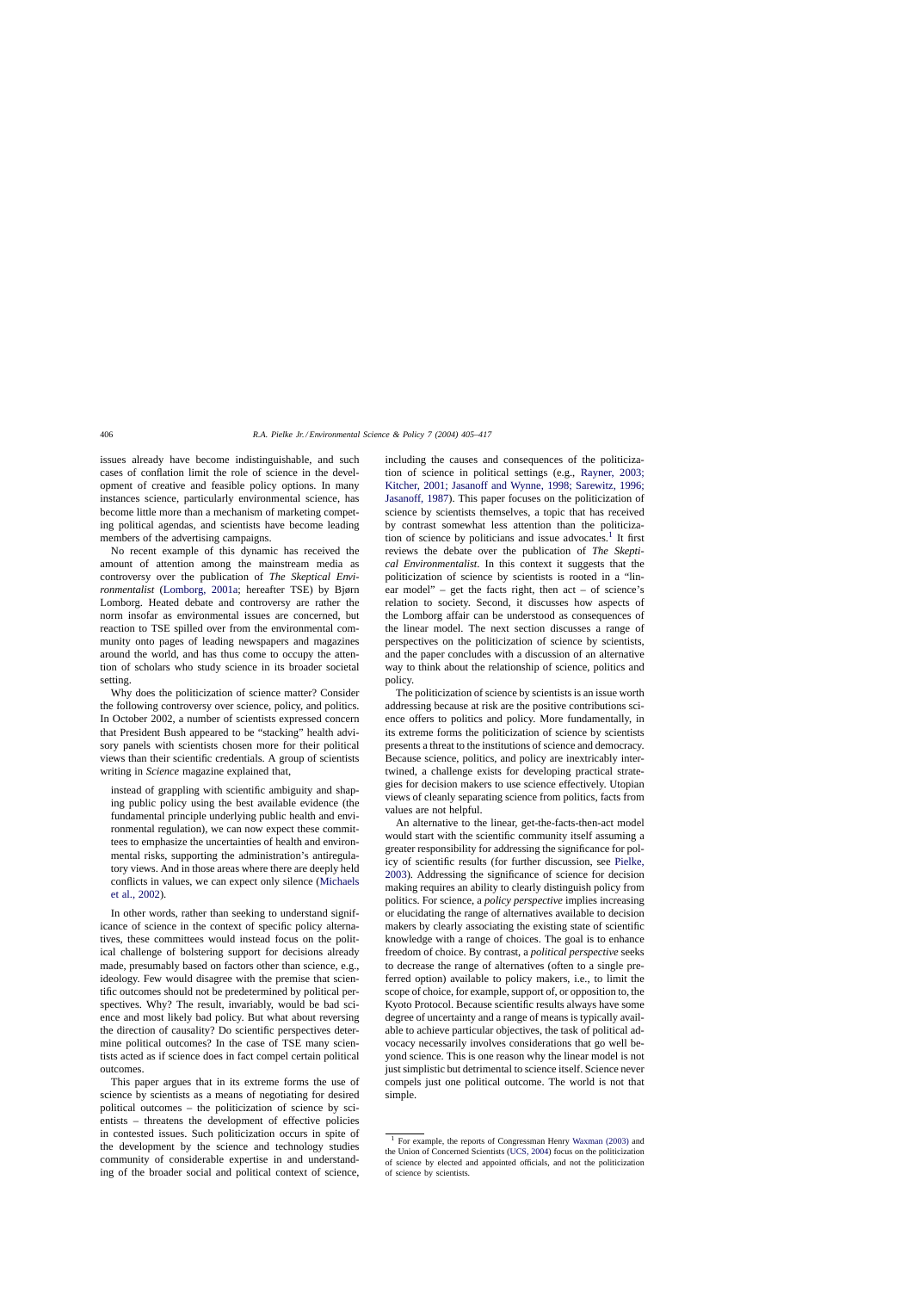issues already have become indistinguishable, and such cases of conflation limit the role of science in the development of creative and feasible policy options. In many instances science, particularly environmental science, has become little more than a mechanism of marketing competing political agendas, and scientists have become leading members of the advertising campaigns.

No recent example of this dynamic has received the amount of attention among the mainstream media as controversy over the publication of *The Skeptical Environmentalist* ([Lomborg, 2001a;](#page-11-0) hereafter TSE) by Bjørn Lomborg. Heated debate and controversy are rather the norm insofar as environmental issues are concerned, but reaction to TSE spilled over from the environmental community onto pages of leading newspapers and magazines around the world, and has thus come to occupy the attention of scholars who study science in its broader societal setting.

Why does the politicization of science matter? Consider the following controversy over science, policy, and politics. In October 2002, a number of scientists expressed concern that President Bush appeared to be "stacking" health advisory panels with scientists chosen more for their political views than their scientific credentials. A group of scientists writing in *Science* magazine explained that,

instead of grappling with scientific ambiguity and shaping public policy using the best available evidence (the fundamental principle underlying public health and environmental regulation), we can now expect these committees to emphasize the uncertainties of health and environmental risks, supporting the administration's antiregulatory views. And in those areas where there are deeply held conflicts in values, we can expect only silence [\(Michaels](#page-11-0) [et al., 2002\).](#page-11-0)

In other words, rather than seeking to understand significance of science in the context of specific policy alternatives, these committees would instead focus on the political challenge of bolstering support for decisions already made, presumably based on factors other than science, e.g., ideology. Few would disagree with the premise that scientific outcomes should not be predetermined by political perspectives. Why? The result, invariably, would be bad science and most likely bad policy. But what about reversing the direction of causality? Do scientific perspectives determine political outcomes? In the case of TSE many scientists acted as if science does in fact compel certain political outcomes.

This paper argues that in its extreme forms the use of science by scientists as a means of negotiating for desired political outcomes – the politicization of science by scientists – threatens the development of effective policies in contested issues. Such politicization occurs in spite of the development by the science and technology studies community of considerable expertise in and understanding of the broader social and political context of science,

including the causes and consequences of the politicization of science in political settings (e.g., [Rayner, 2003;](#page-11-0) [Kitcher, 2001; Jasanoff and Wynne, 1998; Sarewitz, 1996;](#page-11-0) [Jasanoff, 1987\).](#page-11-0) This paper focuses on the politicization of science by scientists themselves, a topic that has received by contrast somewhat less attention than the politicization of science by politicians and issue advocates.<sup>1</sup> It first reviews the debate over the publication of *The Skeptical Environmentalist*. In this context it suggests that the politicization of science by scientists is rooted in a "linear model" – get the facts right, then  $act - of science's$ relation to society. Second, it discusses how aspects of the Lomborg affair can be understood as consequences of the linear model. The next section discusses a range of perspectives on the politicization of science by scientists, and the paper concludes with a discussion of an alternative way to think about the relationship of science, politics and policy.

The politicization of science by scientists is an issue worth addressing because at risk are the positive contributions science offers to politics and policy. More fundamentally, in its extreme forms the politicization of science by scientists presents a threat to the institutions of science and democracy. Because science, politics, and policy are inextricably intertwined, a challenge exists for developing practical strategies for decision makers to use science effectively. Utopian views of cleanly separating science from politics, facts from values are not helpful.

An alternative to the linear, get-the-facts-then-act model would start with the scientific community itself assuming a greater responsibility for addressing the significance for policy of scientific results (for further discussion, see [Pielke,](#page-11-0) [2003\).](#page-11-0) Addressing the significance of science for decision making requires an ability to clearly distinguish policy from politics. For science, a *policy perspective* implies increasing or elucidating the range of alternatives available to decision makers by clearly associating the existing state of scientific knowledge with a range of choices. The goal is to enhance freedom of choice. By contrast, a *political perspective* seeks to decrease the range of alternatives (often to a single preferred option) available to policy makers, i.e., to limit the scope of choice, for example, support of, or opposition to, the Kyoto Protocol. Because scientific results always have some degree of uncertainty and a range of means is typically available to achieve particular objectives, the task of political advocacy necessarily involves considerations that go well beyond science. This is one reason why the linear model is not just simplistic but detrimental to science itself. Science never compels just one political outcome. The world is not that simple.

<sup>1</sup> For example, the reports of Congressman Henry [Waxman \(2003\)](#page-12-0) and the Union of Concerned Scientists [\(UCS, 2004\) f](#page-12-0)ocus on the politicization of science by elected and appointed officials, and not the politicization of science by scientists.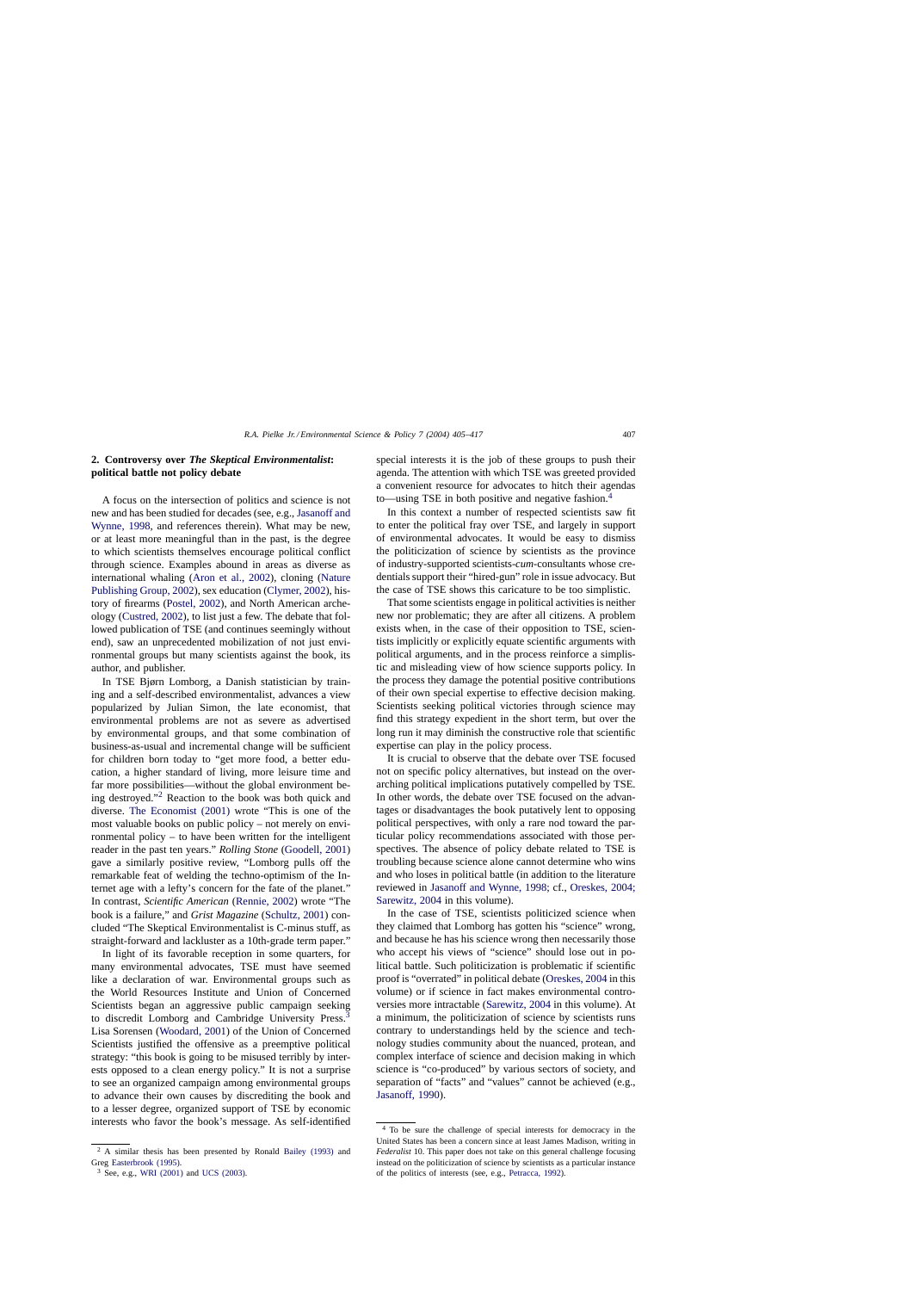# **2. Controversy over** *The Skeptical Environmentalist***: political battle not policy debate**

A focus on the intersection of politics and science is not new and has been studied for decades (see, e.g., [Jasanoff and](#page-11-0) [Wynne, 1998,](#page-11-0) and references therein). What may be new, or at least more meaningful than in the past, is the degree to which scientists themselves encourage political conflict through science. Examples abound in areas as diverse as international whaling ([Aron et al., 2002\)](#page-10-0), cloning [\(Nature](#page-11-0) [Publishing Group, 2002\),](#page-11-0) sex education ([Clymer, 2002\),](#page-10-0) history of firearms ([Postel, 2002\),](#page-11-0) and North American archeology ([Custred, 2002\),](#page-10-0) to list just a few. The debate that followed publication of TSE (and continues seemingly without end), saw an unprecedented mobilization of not just environmental groups but many scientists against the book, its author, and publisher.

In TSE Bjørn Lomborg, a Danish statistician by training and a self-described environmentalist, advances a view popularized by Julian Simon, the late economist, that environmental problems are not as severe as advertised by environmental groups, and that some combination of business-as-usual and incremental change will be sufficient for children born today to "get more food, a better education, a higher standard of living, more leisure time and far more possibilities—without the global environment being destroyed."2 Reaction to the book was both quick and diverse. [The Economist \(2001\)](#page-11-0) wrote "This is one of the most valuable books on public policy – not merely on environmental policy – to have been written for the intelligent reader in the past ten years." *Rolling Stone* ([Goodell, 2001\)](#page-11-0) gave a similarly positive review, "Lomborg pulls off the remarkable feat of welding the techno-optimism of the Internet age with a lefty's concern for the fate of the planet." In contrast, *Scientific American* ([Rennie, 2002\)](#page-11-0) wrote "The book is a failure," and *Grist Magazine* ([Schultz, 2001\)](#page-11-0) concluded "The Skeptical Environmentalist is C-minus stuff, as straight-forward and lackluster as a 10th-grade term paper."

In light of its favorable reception in some quarters, for many environmental advocates, TSE must have seemed like a declaration of war. Environmental groups such as the World Resources Institute and Union of Concerned Scientists began an aggressive public campaign seeking to discredit Lomborg and Cambridge University Press.<sup>3</sup> Lisa Sorensen [\(Woodard, 2001\)](#page-12-0) of the Union of Concerned Scientists justified the offensive as a preemptive political strategy: "this book is going to be misused terribly by interests opposed to a clean energy policy." It is not a surprise to see an organized campaign among environmental groups to advance their own causes by discrediting the book and to a lesser degree, organized support of TSE by economic interests who favor the book's message. As self-identified

special interests it is the job of these groups to push their agenda. The attention with which TSE was greeted provided a convenient resource for advocates to hitch their agendas to—using TSE in both positive and negative fashion.<sup>4</sup>

In this context a number of respected scientists saw fit to enter the political fray over TSE, and largely in support of environmental advocates. It would be easy to dismiss the politicization of science by scientists as the province of industry-supported scientists-*cum*-consultants whose credentials support their "hired-gun" role in issue advocacy. But the case of TSE shows this caricature to be too simplistic.

That some scientists engage in political activities is neither new nor problematic; they are after all citizens. A problem exists when, in the case of their opposition to TSE, scientists implicitly or explicitly equate scientific arguments with political arguments, and in the process reinforce a simplistic and misleading view of how science supports policy. In the process they damage the potential positive contributions of their own special expertise to effective decision making. Scientists seeking political victories through science may find this strategy expedient in the short term, but over the long run it may diminish the constructive role that scientific expertise can play in the policy process.

It is crucial to observe that the debate over TSE focused not on specific policy alternatives, but instead on the overarching political implications putatively compelled by TSE. In other words, the debate over TSE focused on the advantages or disadvantages the book putatively lent to opposing political perspectives, with only a rare nod toward the particular policy recommendations associated with those perspectives. The absence of policy debate related to TSE is troubling because science alone cannot determine who wins and who loses in political battle (in addition to the literature reviewed in [Jasanoff and Wynne, 1998;](#page-11-0) cf., [Oreskes, 2004;](#page-11-0) [Sarewitz, 2004](#page-11-0) in this volume).

In the case of TSE, scientists politicized science when they claimed that Lomborg has gotten his "science" wrong, and because he has his science wrong then necessarily those who accept his views of "science" should lose out in political battle. Such politicization is problematic if scientific proof is "overrated" in political debate ([Oreskes, 2004](#page-11-0) in this volume) or if science in fact makes environmental controversies more intractable ([Sarewitz, 2004](#page-11-0) in this volume). At a minimum, the politicization of science by scientists runs contrary to understandings held by the science and technology studies community about the nuanced, protean, and complex interface of science and decision making in which science is "co-produced" by various sectors of society, and separation of "facts" and "values" cannot be achieved (e.g., [Jasanoff, 1990\).](#page-11-0)

<sup>2</sup> A similar thesis has been presented by Ronald [Bailey \(1993\)](#page-10-0) and Greg [Easterbrook \(1995\).](#page-11-0)

<sup>3</sup> See, e.g., [WRI \(2001\)](#page-12-0) and [UCS \(2003\).](#page-12-0)

<sup>4</sup> To be sure the challenge of special interests for democracy in the United States has been a concern since at least James Madison, writing in *Federalist* 10. This paper does not take on this general challenge focusing instead on the politicization of science by scientists as a particular instance of the politics of interests (see, e.g., [Petracca, 1992\).](#page-11-0)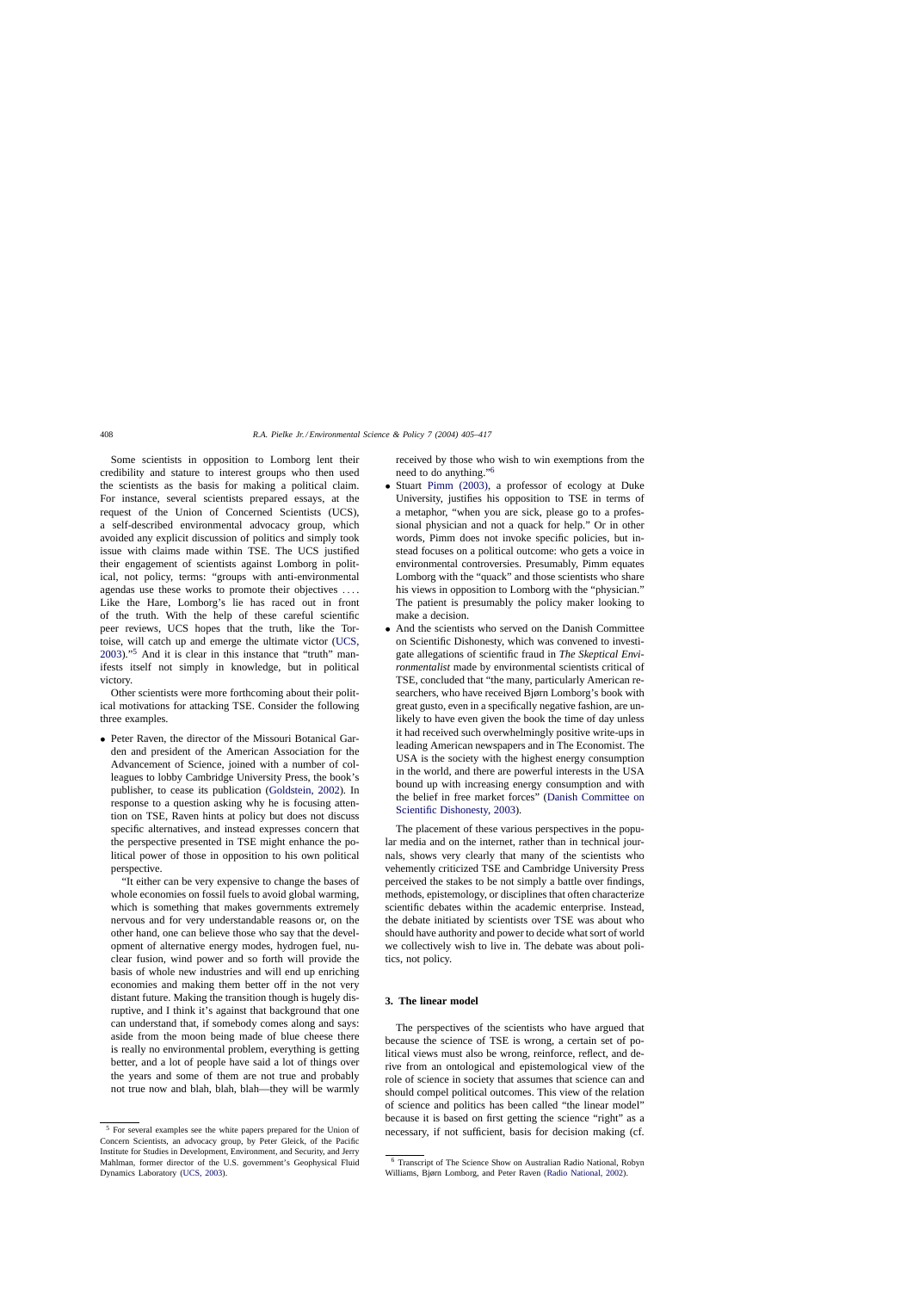Some scientists in opposition to Lomborg lent their credibility and stature to interest groups who then used the scientists as the basis for making a political claim. For instance, several scientists prepared essays, at the request of the Union of Concerned Scientists (UCS), a self-described environmental advocacy group, which avoided any explicit discussion of politics and simply took issue with claims made within TSE. The UCS justified their engagement of scientists against Lomborg in political, not policy, terms: "groups with anti-environmental agendas use these works to promote their objectives ... . Like the Hare, Lomborg's lie has raced out in front of the truth. With the help of these careful scientific peer reviews, UCS hopes that the truth, like the Tortoise, will catch up and emerge the ultimate victor ([UCS,](#page-12-0) [2003\).](#page-12-0)"5 And it is clear in this instance that "truth" manifests itself not simply in knowledge, but in political

Other scientists were more forthcoming about their political motivations for attacking TSE. Consider the following three examples.

• Peter Raven, the director of the Missouri Botanical Garden and president of the American Association for the Advancement of Science, joined with a number of colleagues to lobby Cambridge University Press, the book's publisher, to cease its publication [\(Goldstein, 2002\).](#page-11-0) In response to a question asking why he is focusing attention on TSE, Raven hints at policy but does not discuss specific alternatives, and instead expresses concern that the perspective presented in TSE might enhance the political power of those in opposition to his own political perspective.

"It either can be very expensive to change the bases of whole economies on fossil fuels to avoid global warming, which is something that makes governments extremely nervous and for very understandable reasons or, on the other hand, one can believe those who say that the development of alternative energy modes, hydrogen fuel, nuclear fusion, wind power and so forth will provide the basis of whole new industries and will end up enriching economies and making them better off in the not very distant future. Making the transition though is hugely disruptive, and I think it's against that background that one can understand that, if somebody comes along and says: aside from the moon being made of blue cheese there is really no environmental problem, everything is getting better, and a lot of people have said a lot of things over the years and some of them are not true and probably not true now and blah, blah, blah—they will be warmly

<sup>5</sup> For several examples see the white papers prepared for the Union of Concern Scientists, an advocacy group, by Peter Gleick, of the Pacific Institute for Studies in Development, Environment, and Security, and Jerry Mahlman, former director of the U.S. government's Geophysical Fluid Dynamics Laboratory ([UCS, 2003\).](#page-12-0)

received by those who wish to win exemptions from the need to do anything."<sup>6</sup>

- Stuart [Pimm \(2003\),](#page-11-0) a professor of ecology at Duke University, justifies his opposition to TSE in terms of a metaphor, "when you are sick, please go to a professional physician and not a quack for help." Or in other words, Pimm does not invoke specific policies, but instead focuses on a political outcome: who gets a voice in environmental controversies. Presumably, Pimm equates Lomborg with the "quack" and those scientists who share his views in opposition to Lomborg with the "physician." The patient is presumably the policy maker looking to make a decision.
- And the scientists who served on the Danish Committee on Scientific Dishonesty, which was convened to investigate allegations of scientific fraud in *The Skeptical Environmentalist* made by environmental scientists critical of TSE, concluded that "the many, particularly American researchers, who have received Bjørn Lomborg's book with great gusto, even in a specifically negative fashion, are unlikely to have even given the book the time of day unless it had received such overwhelmingly positive write-ups in leading American newspapers and in The Economist. The USA is the society with the highest energy consumption in the world, and there are powerful interests in the USA bound up with increasing energy consumption and with the belief in free market forces" ([Danish Committee on](#page-10-0) [Scientific Dishonesty, 2003\).](#page-10-0)

The placement of these various perspectives in the popular media and on the internet, rather than in technical journals, shows very clearly that many of the scientists who vehemently criticized TSE and Cambridge University Press perceived the stakes to be not simply a battle over findings, methods, epistemology, or disciplines that often characterize scientific debates within the academic enterprise. Instead, the debate initiated by scientists over TSE was about who should have authority and power to decide what sort of world we collectively wish to live in. The debate was about politics, not policy.

# **3. The linear model**

The perspectives of the scientists who have argued that because the science of TSE is wrong, a certain set of political views must also be wrong, reinforce, reflect, and derive from an ontological and epistemological view of the role of science in society that assumes that science can and should compel political outcomes. This view of the relation of science and politics has been called "the linear model" because it is based on first getting the science "right" as a necessary, if not sufficient, basis for decision making (cf.

victory.

<sup>6</sup> Transcript of The Science Show on Australian Radio National, Robyn Williams, Bjørn Lomborg, and Peter Raven ([Radio National, 2002\).](#page-11-0)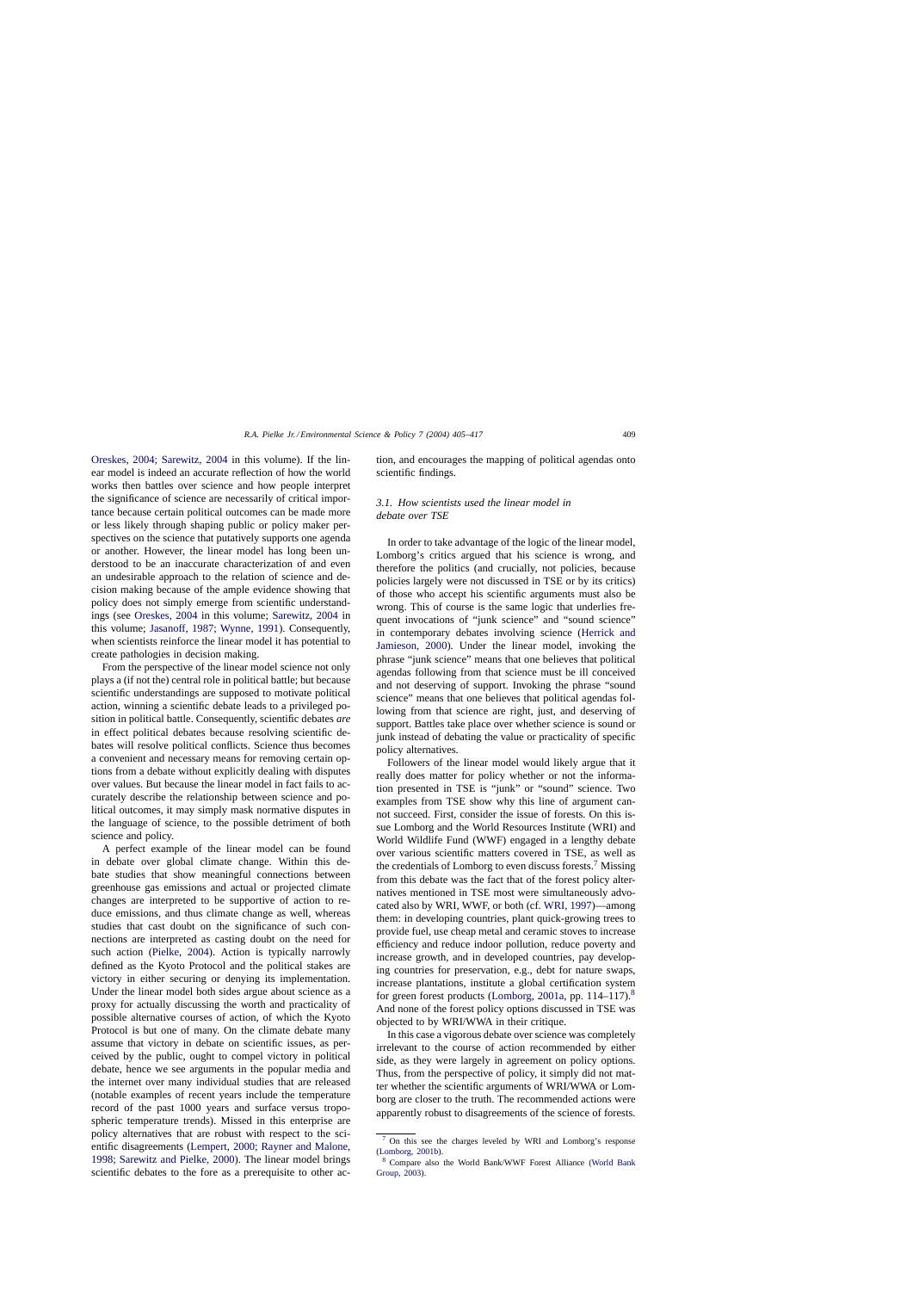[Oreskes, 2004; Sarewitz, 2004](#page-11-0) in this volume). If the linear model is indeed an accurate reflection of how the world works then battles over science and how people interpret the significance of science are necessarily of critical importance because certain political outcomes can be made more or less likely through shaping public or policy maker perspectives on the science that putatively supports one agenda or another. However, the linear model has long been understood to be an inaccurate characterization of and even an undesirable approach to the relation of science and decision making because of the ample evidence showing that policy does not simply emerge from scientific understandings (see [Oreskes, 2004](#page-11-0) in this volume; [Sarewitz, 2004](#page-11-0) in this volume; [Jasanoff, 1987; Wynne, 1991\).](#page-11-0) Consequently, when scientists reinforce the linear model it has potential to create pathologies in decision making.

From the perspective of the linear model science not only plays a (if not the) central role in political battle; but because scientific understandings are supposed to motivate political action, winning a scientific debate leads to a privileged position in political battle. Consequently, scientific debates *are* in effect political debates because resolving scientific debates will resolve political conflicts. Science thus becomes a convenient and necessary means for removing certain options from a debate without explicitly dealing with disputes over values. But because the linear model in fact fails to accurately describe the relationship between science and political outcomes, it may simply mask normative disputes in the language of science, to the possible detriment of both science and policy.

A perfect example of the linear model can be found in debate over global climate change. Within this debate studies that show meaningful connections between greenhouse gas emissions and actual or projected climate changes are interpreted to be supportive of action to reduce emissions, and thus climate change as well, whereas studies that cast doubt on the significance of such connections are interpreted as casting doubt on the need for such action [\(Pielke, 2004\)](#page-11-0). Action is typically narrowly defined as the Kyoto Protocol and the political stakes are victory in either securing or denying its implementation. Under the linear model both sides argue about science as a proxy for actually discussing the worth and practicality of possible alternative courses of action, of which the Kyoto Protocol is but one of many. On the climate debate many assume that victory in debate on scientific issues, as perceived by the public, ought to compel victory in political debate, hence we see arguments in the popular media and the internet over many individual studies that are released (notable examples of recent years include the temperature record of the past 1000 years and surface versus tropospheric temperature trends). Missed in this enterprise are policy alternatives that are robust with respect to the scientific disagreements ([Lempert, 2000; Rayner and Malone,](#page-11-0) [1998; Sarewitz and Pielke, 2000\).](#page-11-0) The linear model brings scientific debates to the fore as a prerequisite to other action, and encourages the mapping of political agendas onto scientific findings.

## *3.1. How scientists used the linear model in debate over TSE*

In order to take advantage of the logic of the linear model, Lomborg's critics argued that his science is wrong, and therefore the politics (and crucially, not policies, because policies largely were not discussed in TSE or by its critics) of those who accept his scientific arguments must also be wrong. This of course is the same logic that underlies frequent invocations of "junk science" and "sound science" in contemporary debates involving science [\(Herrick and](#page-11-0) [Jamieson, 2000\)](#page-11-0). Under the linear model, invoking the phrase "junk science" means that one believes that political agendas following from that science must be ill conceived and not deserving of support. Invoking the phrase "sound science" means that one believes that political agendas following from that science are right, just, and deserving of support. Battles take place over whether science is sound or junk instead of debating the value or practicality of specific policy alternatives.

Followers of the linear model would likely argue that it really does matter for policy whether or not the information presented in TSE is "junk" or "sound" science. Two examples from TSE show why this line of argument cannot succeed. First, consider the issue of forests. On this issue Lomborg and the World Resources Institute (WRI) and World Wildlife Fund (WWF) engaged in a lengthy debate over various scientific matters covered in TSE, as well as the credentials of Lomborg to even discuss forests.<sup>7</sup> Missing from this debate was the fact that of the forest policy alternatives mentioned in TSE most were simultaneously advocated also by WRI, WWF, or both (cf. [WRI, 1997\)—](#page-12-0)among them: in developing countries, plant quick-growing trees to provide fuel, use cheap metal and ceramic stoves to increase efficiency and reduce indoor pollution, reduce poverty and increase growth, and in developed countries, pay developing countries for preservation, e.g., debt for nature swaps, increase plantations, institute a global certification system for green forest products ([Lomborg, 2001a,](#page-11-0) pp.  $114-117$ ).<sup>8</sup> And none of the forest policy options discussed in TSE was objected to by WRI/WWA in their critique.

In this case a vigorous debate over science was completely irrelevant to the course of action recommended by either side, as they were largely in agreement on policy options. Thus, from the perspective of policy, it simply did not matter whether the scientific arguments of WRI/WWA or Lomborg are closer to the truth. The recommended actions were apparently robust to disagreements of the science of forests.

<sup>7</sup> On this see the charges leveled by WRI and Lomborg's response [\(Lomborg, 2001b\).](#page-11-0)

<sup>8</sup> Compare also the World Bank/WWF Forest Alliance [\(World Bank](#page-12-0) [Group, 2003\).](#page-12-0)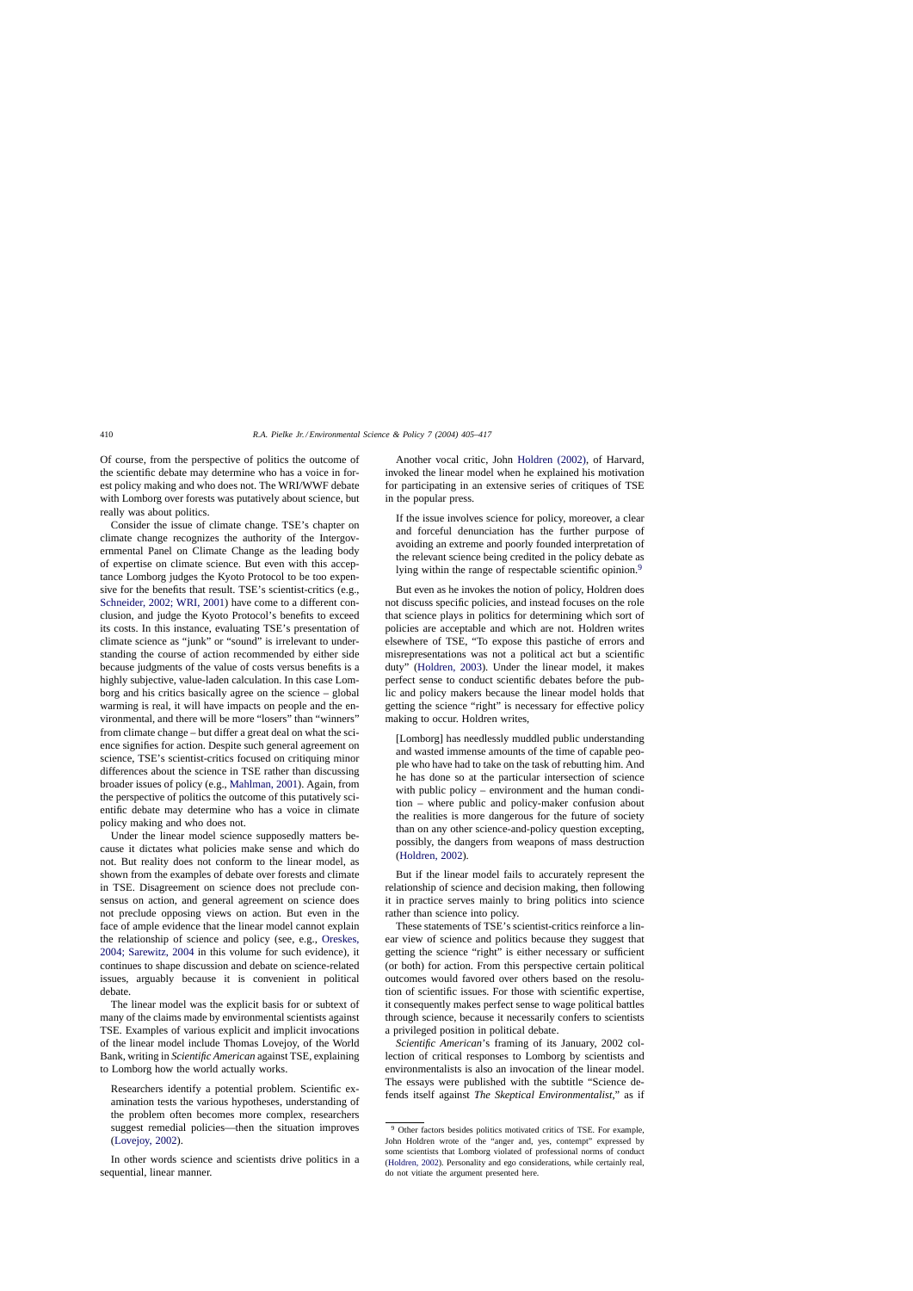Of course, from the perspective of politics the outcome of the scientific debate may determine who has a voice in forest policy making and who does not. The WRI/WWF debate with Lomborg over forests was putatively about science, but really was about politics.

Consider the issue of climate change. TSE's chapter on climate change recognizes the authority of the Intergovernmental Panel on Climate Change as the leading body of expertise on climate science. But even with this acceptance Lomborg judges the Kyoto Protocol to be too expensive for the benefits that result. TSE's scientist-critics (e.g., [Schneider, 2002; WRI, 2001\)](#page-11-0) have come to a different conclusion, and judge the Kyoto Protocol's benefits to exceed its costs. In this instance, evaluating TSE's presentation of climate science as "junk" or "sound" is irrelevant to understanding the course of action recommended by either side because judgments of the value of costs versus benefits is a highly subjective, value-laden calculation. In this case Lomborg and his critics basically agree on the science – global warming is real, it will have impacts on people and the environmental, and there will be more "losers" than "winners" from climate change – but differ a great deal on what the science signifies for action. Despite such general agreement on science, TSE's scientist-critics focused on critiquing minor differences about the science in TSE rather than discussing broader issues of policy (e.g., [Mahlman, 2001\).](#page-11-0) Again, from the perspective of politics the outcome of this putatively scientific debate may determine who has a voice in climate policy making and who does not.

Under the linear model science supposedly matters because it dictates what policies make sense and which do not. But reality does not conform to the linear model, as shown from the examples of debate over forests and climate in TSE. Disagreement on science does not preclude consensus on action, and general agreement on science does not preclude opposing views on action. But even in the face of ample evidence that the linear model cannot explain the relationship of science and policy (see, e.g., [Oreskes,](#page-11-0) [2004; Sarewitz, 2004](#page-11-0) in this volume for such evidence), it continues to shape discussion and debate on science-related issues, arguably because it is convenient in political debate.

The linear model was the explicit basis for or subtext of many of the claims made by environmental scientists against TSE. Examples of various explicit and implicit invocations of the linear model include Thomas Lovejoy, of the World Bank, writing in *Scientific American* against TSE, explaining to Lomborg how the world actually works.

Researchers identify a potential problem. Scientific examination tests the various hypotheses, understanding of the problem often becomes more complex, researchers suggest remedial policies—then the situation improves ([Lovejoy, 2002\).](#page-11-0)

In other words science and scientists drive politics in a sequential, linear manner.

Another vocal critic, John [Holdren \(2002\),](#page-11-0) of Harvard, invoked the linear model when he explained his motivation for participating in an extensive series of critiques of TSE in the popular press.

If the issue involves science for policy, moreover, a clear and forceful denunciation has the further purpose of avoiding an extreme and poorly founded interpretation of the relevant science being credited in the policy debate as lying within the range of respectable scientific opinion.<sup>9</sup>

But even as he invokes the notion of policy, Holdren does not discuss specific policies, and instead focuses on the role that science plays in politics for determining which sort of policies are acceptable and which are not. Holdren writes elsewhere of TSE, "To expose this pastiche of errors and misrepresentations was not a political act but a scientific duty" [\(Holdren, 2003\).](#page-11-0) Under the linear model, it makes perfect sense to conduct scientific debates before the public and policy makers because the linear model holds that getting the science "right" is necessary for effective policy making to occur. Holdren writes,

[Lomborg] has needlessly muddled public understanding and wasted immense amounts of the time of capable people who have had to take on the task of rebutting him. And he has done so at the particular intersection of science with public policy – environment and the human condition – where public and policy-maker confusion about the realities is more dangerous for the future of society than on any other science-and-policy question excepting, possibly, the dangers from weapons of mass destruction ([Holdren, 2002\).](#page-11-0)

But if the linear model fails to accurately represent the relationship of science and decision making, then following it in practice serves mainly to bring politics into science rather than science into policy.

These statements of TSE's scientist-critics reinforce a linear view of science and politics because they suggest that getting the science "right" is either necessary or sufficient (or both) for action. From this perspective certain political outcomes would favored over others based on the resolution of scientific issues. For those with scientific expertise, it consequently makes perfect sense to wage political battles through science, because it necessarily confers to scientists a privileged position in political debate.

*Scientific American*'s framing of its January, 2002 collection of critical responses to Lomborg by scientists and environmentalists is also an invocation of the linear model. The essays were published with the subtitle "Science defends itself against *The Skeptical Environmentalist*," as if

<sup>&</sup>lt;sup>9</sup> Other factors besides politics motivated critics of TSE. For example, John Holdren wrote of the "anger and, yes, contempt" expressed by some scientists that Lomborg violated of professional norms of conduct [\(Holdren, 2002\).](#page-11-0) Personality and ego considerations, while certainly real, do not vitiate the argument presented here.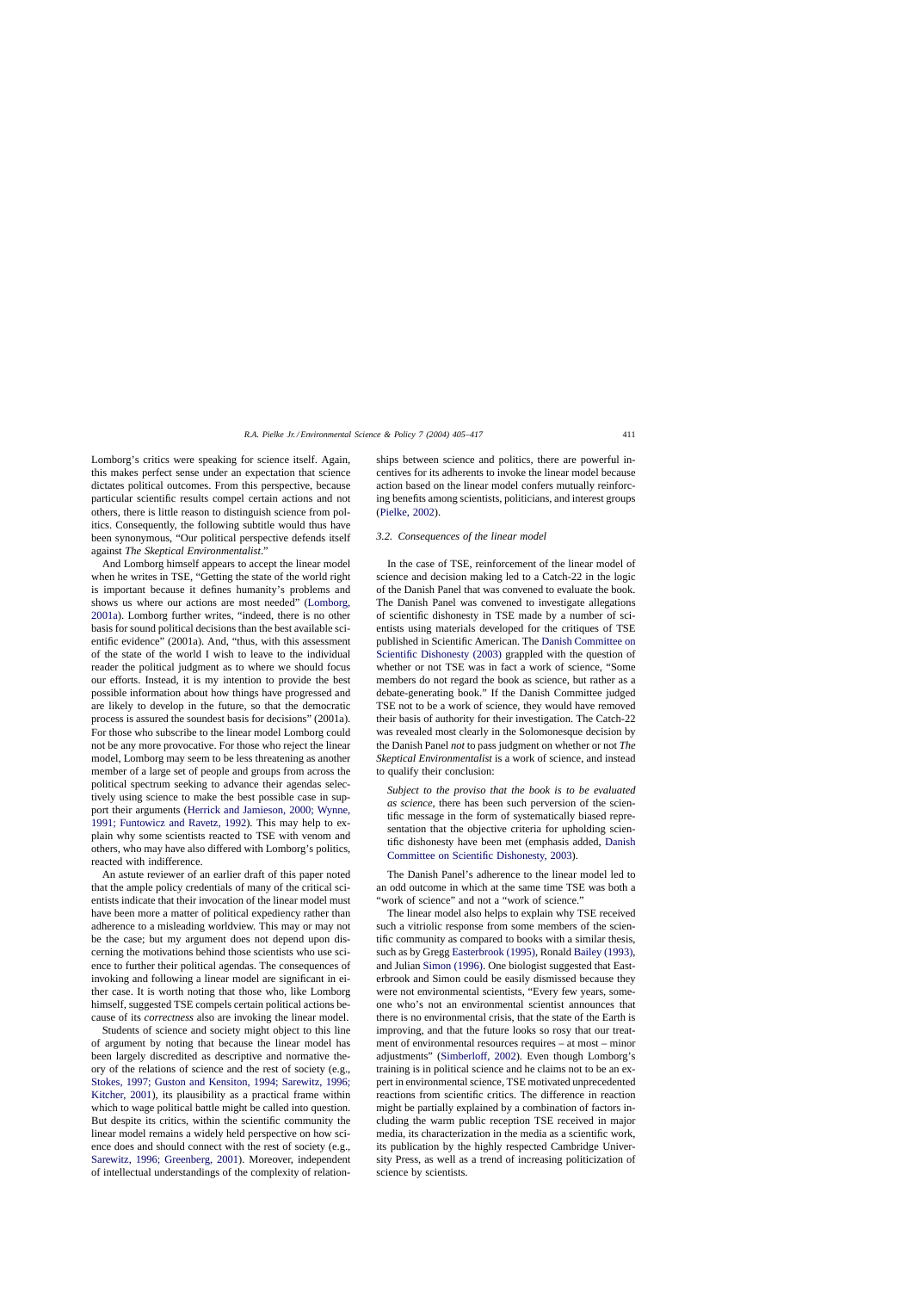Lomborg's critics were speaking for science itself. Again, this makes perfect sense under an expectation that science dictates political outcomes. From this perspective, because particular scientific results compel certain actions and not others, there is little reason to distinguish science from politics. Consequently, the following subtitle would thus have been synonymous, "Our political perspective defends itself against *The Skeptical Environmentalist*."

And Lomborg himself appears to accept the linear model when he writes in TSE, "Getting the state of the world right is important because it defines humanity's problems and shows us where our actions are most needed" [\(Lomborg,](#page-11-0) [2001a\).](#page-11-0) Lomborg further writes, "indeed, there is no other basis for sound political decisions than the best available scientific evidence" (2001a). And, "thus, with this assessment of the state of the world I wish to leave to the individual reader the political judgment as to where we should focus our efforts. Instead, it is my intention to provide the best possible information about how things have progressed and are likely to develop in the future, so that the democratic process is assured the soundest basis for decisions" (2001a). For those who subscribe to the linear model Lomborg could not be any more provocative. For those who reject the linear model, Lomborg may seem to be less threatening as another member of a large set of people and groups from across the political spectrum seeking to advance their agendas selectively using science to make the best possible case in support their arguments ([Herrick and Jamieson, 2000; Wynne,](#page-11-0) [1991; Funtowicz and Ravetz, 1992\)](#page-11-0). This may help to explain why some scientists reacted to TSE with venom and others, who may have also differed with Lomborg's politics, reacted with indifference.

An astute reviewer of an earlier draft of this paper noted that the ample policy credentials of many of the critical scientists indicate that their invocation of the linear model must have been more a matter of political expediency rather than adherence to a misleading worldview. This may or may not be the case; but my argument does not depend upon discerning the motivations behind those scientists who use science to further their political agendas. The consequences of invoking and following a linear model are significant in either case. It is worth noting that those who, like Lomborg himself, suggested TSE compels certain political actions because of its *correctness* also are invoking the linear model.

Students of science and society might object to this line of argument by noting that because the linear model has been largely discredited as descriptive and normative theory of the relations of science and the rest of society (e.g., [Stokes, 1997; Guston and Kensiton, 1994; Sarewitz, 1996;](#page-12-0) [Kitcher, 2001\),](#page-12-0) its plausibility as a practical frame within which to wage political battle might be called into question. But despite its critics, within the scientific community the linear model remains a widely held perspective on how science does and should connect with the rest of society (e.g., [Sarewitz, 1996; Greenberg, 2001\)](#page-11-0). Moreover, independent of intellectual understandings of the complexity of relationships between science and politics, there are powerful incentives for its adherents to invoke the linear model because action based on the linear model confers mutually reinforcing benefits among scientists, politicians, and interest groups ([Pielke, 2002\).](#page-11-0)

#### *3.2. Consequences of the linear model*

In the case of TSE, reinforcement of the linear model of science and decision making led to a Catch-22 in the logic of the Danish Panel that was convened to evaluate the book. The Danish Panel was convened to investigate allegations of scientific dishonesty in TSE made by a number of scientists using materials developed for the critiques of TSE published in Scientific American. The [Danish Committee on](#page-10-0) [Scientific Dishonesty \(2003\)](#page-10-0) grappled with the question of whether or not TSE was in fact a work of science, "Some members do not regard the book as science, but rather as a debate-generating book." If the Danish Committee judged TSE not to be a work of science, they would have removed their basis of authority for their investigation. The Catch-22 was revealed most clearly in the Solomonesque decision by the Danish Panel *not* to pass judgment on whether or not *The Skeptical Environmentalist* is a work of science, and instead to qualify their conclusion:

*Subject to the proviso that the book is to be evaluated as science*, there has been such perversion of the scientific message in the form of systematically biased representation that the objective criteria for upholding scientific dishonesty have been met (emphasis added, [Danish](#page-10-0) [Committee on Scientific Dishonesty, 2003\).](#page-10-0)

The Danish Panel's adherence to the linear model led to an odd outcome in which at the same time TSE was both a "work of science" and not a "work of science."

The linear model also helps to explain why TSE received such a vitriolic response from some members of the scientific community as compared to books with a similar thesis, such as by Gregg [Easterbrook \(1995\), R](#page-11-0)onald [Bailey \(1993\),](#page-10-0) and Julian [Simon \(1996\). O](#page-12-0)ne biologist suggested that Easterbrook and Simon could be easily dismissed because they were not environmental scientists, "Every few years, someone who's not an environmental scientist announces that there is no environmental crisis, that the state of the Earth is improving, and that the future looks so rosy that our treatment of environmental resources requires – at most – minor adjustments" ([Simberloff, 2002\).](#page-11-0) Even though Lomborg's training is in political science and he claims not to be an expert in environmental science, TSE motivated unprecedented reactions from scientific critics. The difference in reaction might be partially explained by a combination of factors including the warm public reception TSE received in major media, its characterization in the media as a scientific work, its publication by the highly respected Cambridge University Press, as well as a trend of increasing politicization of science by scientists.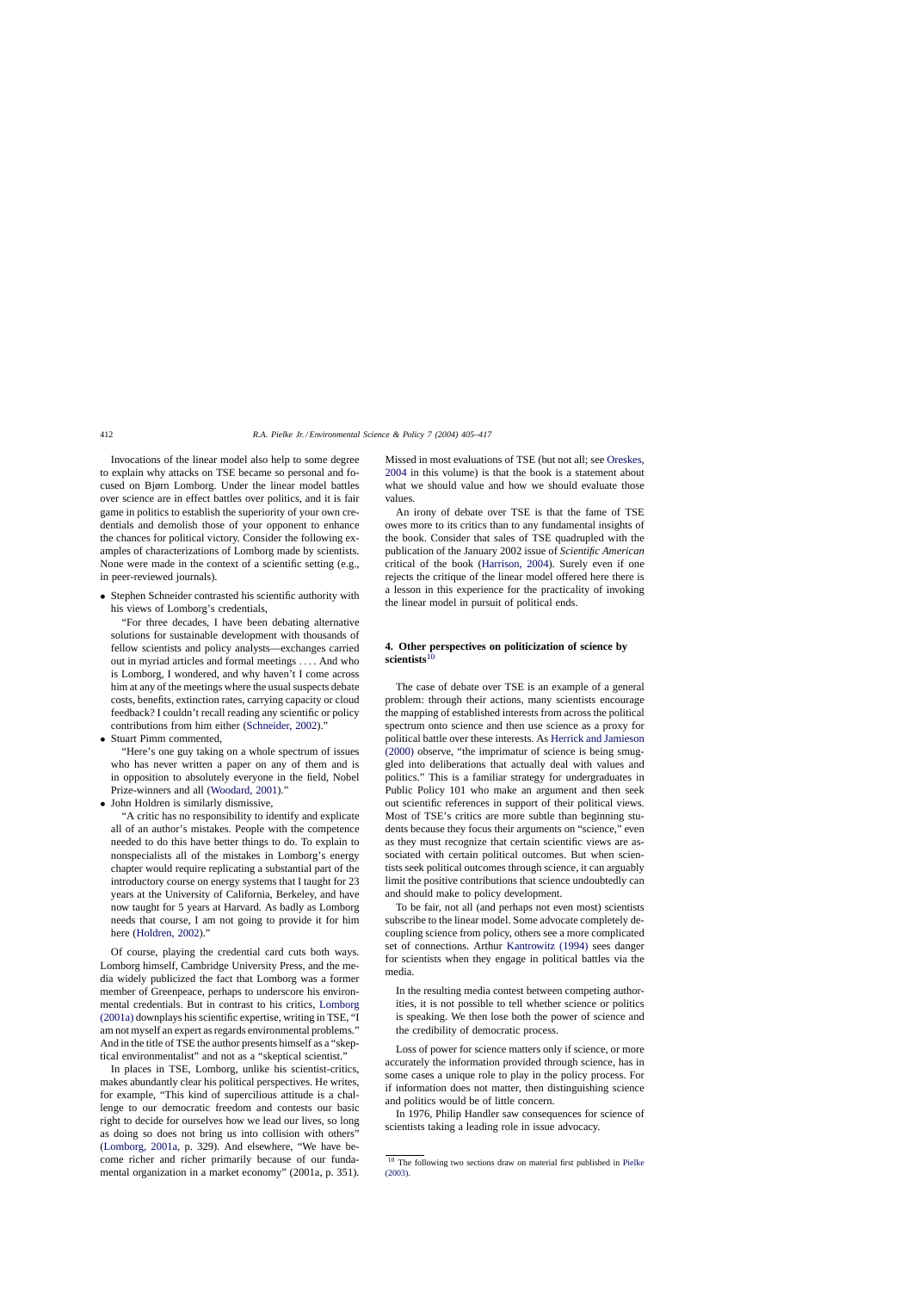Invocations of the linear model also help to some degree to explain why attacks on TSE became so personal and focused on Bjørn Lomborg. Under the linear model battles over science are in effect battles over politics, and it is fair game in politics to establish the superiority of your own credentials and demolish those of your opponent to enhance the chances for political victory. Consider the following examples of characterizations of Lomborg made by scientists. None were made in the context of a scientific setting (e.g., in peer-reviewed journals).

• Stephen Schneider contrasted his scientific authority with his views of Lomborg's credentials,

"For three decades, I have been debating alternative solutions for sustainable development with thousands of fellow scientists and policy analysts—exchanges carried out in myriad articles and formal meetings ... . And who is Lomborg, I wondered, and why haven't I come across him at any of the meetings where the usual suspects debate costs, benefits, extinction rates, carrying capacity or cloud feedback? I couldn't recall reading any scientific or policy contributions from him either ([Schneider, 2002\).](#page-11-0)"

• Stuart Pimm commented,

"Here's one guy taking on a whole spectrum of issues who has never written a paper on any of them and is in opposition to absolutely everyone in the field, Nobel Prize-winners and all [\(Woodard, 2001\).](#page-12-0)"

• John Holdren is similarly dismissive,

"A critic has no responsibility to identify and explicate all of an author's mistakes. People with the competence needed to do this have better things to do. To explain to nonspecialists all of the mistakes in Lomborg's energy chapter would require replicating a substantial part of the introductory course on energy systems that I taught for 23 years at the University of California, Berkeley, and have now taught for 5 years at Harvard. As badly as Lomborg needs that course, I am not going to provide it for him here ([Holdren, 2002\).](#page-11-0)"

Of course, playing the credential card cuts both ways. Lomborg himself, Cambridge University Press, and the media widely publicized the fact that Lomborg was a former member of Greenpeace, perhaps to underscore his environmental credentials. But in contrast to his critics, [Lomborg](#page-11-0) [\(2001a\)](#page-11-0) downplays his scientific expertise, writing in TSE, "I am not myself an expert as regards environmental problems." And in the title of TSE the author presents himself as a "skeptical environmentalist" and not as a "skeptical scientist."

In places in TSE, Lomborg, unlike his scientist-critics, makes abundantly clear his political perspectives. He writes, for example, "This kind of supercilious attitude is a challenge to our democratic freedom and contests our basic right to decide for ourselves how we lead our lives, so long as doing so does not bring us into collision with others" ([Lomborg, 2001a,](#page-11-0) p. 329). And elsewhere, "We have become richer and richer primarily because of our fundamental organization in a market economy" (2001a, p. 351). Missed in most evaluations of TSE (but not all; see [Oreskes,](#page-11-0) [2004](#page-11-0) in this volume) is that the book is a statement about what we should value and how we should evaluate those values.

An irony of debate over TSE is that the fame of TSE owes more to its critics than to any fundamental insights of the book. Consider that sales of TSE quadrupled with the publication of the January 2002 issue of *Scientific American* critical of the book ([Harrison, 2004\).](#page-11-0) Surely even if one rejects the critique of the linear model offered here there is a lesson in this experience for the practicality of invoking the linear model in pursuit of political ends.

# **4. Other perspectives on politicization of science by scientists**<sup>10</sup>

The case of debate over TSE is an example of a general problem: through their actions, many scientists encourage the mapping of established interests from across the political spectrum onto science and then use science as a proxy for political battle over these interests. As [Herrick and Jamieson](#page-11-0) [\(2000\)](#page-11-0) observe, "the imprimatur of science is being smuggled into deliberations that actually deal with values and politics." This is a familiar strategy for undergraduates in Public Policy 101 who make an argument and then seek out scientific references in support of their political views. Most of TSE's critics are more subtle than beginning students because they focus their arguments on "science," even as they must recognize that certain scientific views are associated with certain political outcomes. But when scientists seek political outcomes through science, it can arguably limit the positive contributions that science undoubtedly can and should make to policy development.

To be fair, not all (and perhaps not even most) scientists subscribe to the linear model. Some advocate completely decoupling science from policy, others see a more complicated set of connections. Arthur [Kantrowitz \(1994\)](#page-11-0) sees danger for scientists when they engage in political battles via the media.

In the resulting media contest between competing authorities, it is not possible to tell whether science or politics is speaking. We then lose both the power of science and the credibility of democratic process.

Loss of power for science matters only if science, or more accurately the information provided through science, has in some cases a unique role to play in the policy process. For if information does not matter, then distinguishing science and politics would be of little concern.

In 1976, Philip Handler saw consequences for science of scientists taking a leading role in issue advocacy.

<sup>&</sup>lt;sup>10</sup> The following two sections draw on material first published in [Pielke](#page-11-0) [\(2003\).](#page-11-0)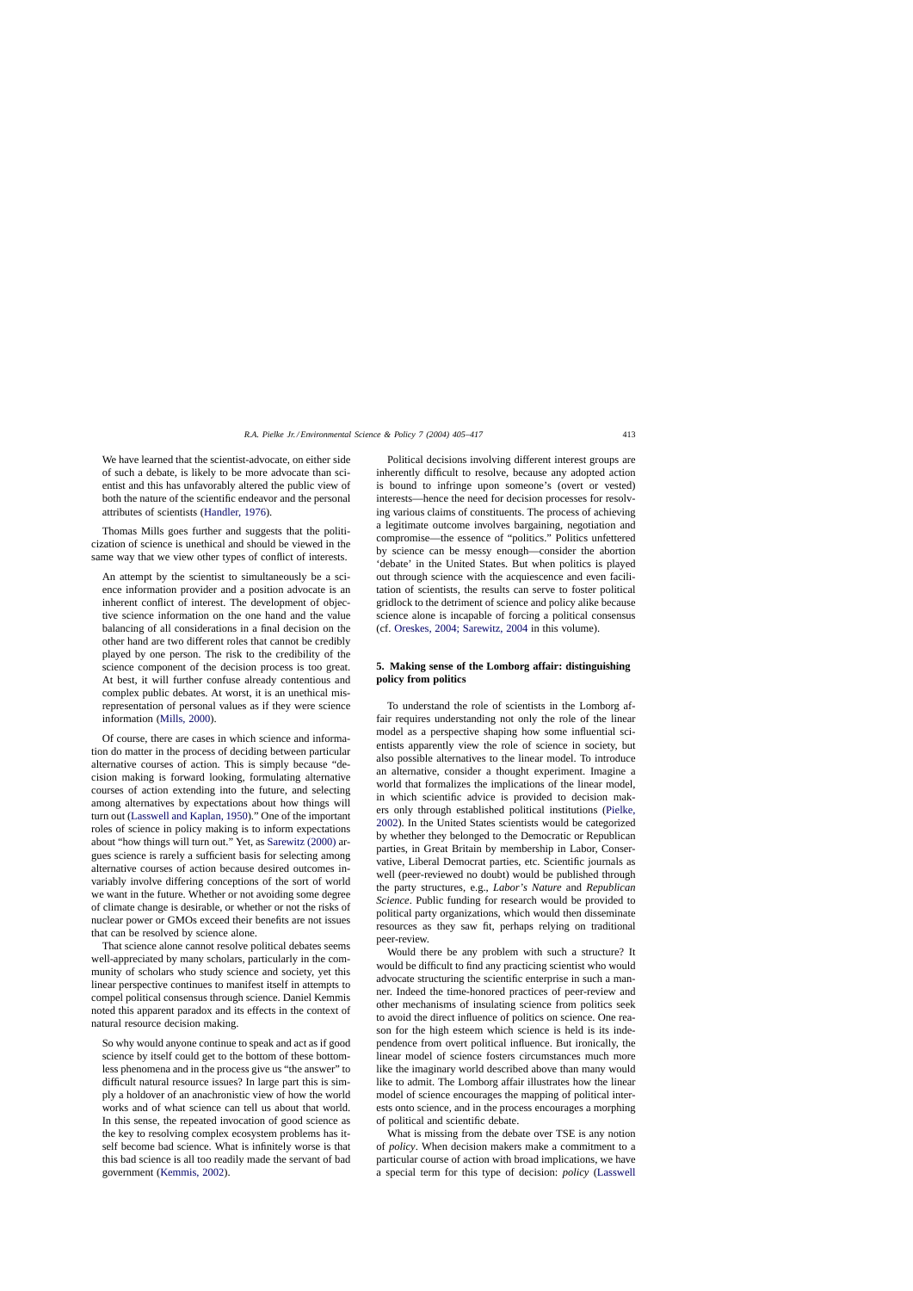We have learned that the scientist-advocate, on either side of such a debate, is likely to be more advocate than scientist and this has unfavorably altered the public view of both the nature of the scientific endeavor and the personal attributes of scientists [\(Handler, 1976\).](#page-11-0)

Thomas Mills goes further and suggests that the politicization of science is unethical and should be viewed in the same way that we view other types of conflict of interests.

An attempt by the scientist to simultaneously be a science information provider and a position advocate is an inherent conflict of interest. The development of objective science information on the one hand and the value balancing of all considerations in a final decision on the other hand are two different roles that cannot be credibly played by one person. The risk to the credibility of the science component of the decision process is too great. At best, it will further confuse already contentious and complex public debates. At worst, it is an unethical misrepresentation of personal values as if they were science information ([Mills, 2000\).](#page-11-0)

Of course, there are cases in which science and information do matter in the process of deciding between particular alternative courses of action. This is simply because "decision making is forward looking, formulating alternative courses of action extending into the future, and selecting among alternatives by expectations about how things will turn out ([Lasswell and Kaplan, 1950\)."](#page-11-0) One of the important roles of science in policy making is to inform expectations about "how things will turn out." Yet, as [Sarewitz \(2000\)](#page-11-0) argues science is rarely a sufficient basis for selecting among alternative courses of action because desired outcomes invariably involve differing conceptions of the sort of world we want in the future. Whether or not avoiding some degree of climate change is desirable, or whether or not the risks of nuclear power or GMOs exceed their benefits are not issues that can be resolved by science alone.

That science alone cannot resolve political debates seems well-appreciated by many scholars, particularly in the community of scholars who study science and society, yet this linear perspective continues to manifest itself in attempts to compel political consensus through science. Daniel Kemmis noted this apparent paradox and its effects in the context of natural resource decision making.

So why would anyone continue to speak and act as if good science by itself could get to the bottom of these bottomless phenomena and in the process give us "the answer" to difficult natural resource issues? In large part this is simply a holdover of an anachronistic view of how the world works and of what science can tell us about that world. In this sense, the repeated invocation of good science as the key to resolving complex ecosystem problems has itself become bad science. What is infinitely worse is that this bad science is all too readily made the servant of bad government ([Kemmis, 2002\).](#page-11-0)

Political decisions involving different interest groups are inherently difficult to resolve, because any adopted action is bound to infringe upon someone's (overt or vested) interests—hence the need for decision processes for resolving various claims of constituents. The process of achieving a legitimate outcome involves bargaining, negotiation and compromise—the essence of "politics." Politics unfettered by science can be messy enough—consider the abortion 'debate' in the United States. But when politics is played out through science with the acquiescence and even facilitation of scientists, the results can serve to foster political gridlock to the detriment of science and policy alike because science alone is incapable of forcing a political consensus (cf. [Oreskes, 2004; Sarewitz, 2004](#page-11-0) in this volume).

# **5. Making sense of the Lomborg affair: distinguishing policy from politics**

To understand the role of scientists in the Lomborg affair requires understanding not only the role of the linear model as a perspective shaping how some influential scientists apparently view the role of science in society, but also possible alternatives to the linear model. To introduce an alternative, consider a thought experiment. Imagine a world that formalizes the implications of the linear model, in which scientific advice is provided to decision makers only through established political institutions [\(Pielke,](#page-11-0) [2002\).](#page-11-0) In the United States scientists would be categorized by whether they belonged to the Democratic or Republican parties, in Great Britain by membership in Labor, Conservative, Liberal Democrat parties, etc. Scientific journals as well (peer-reviewed no doubt) would be published through the party structures, e.g., *Labor's Nature* and *Republican Science*. Public funding for research would be provided to political party organizations, which would then disseminate resources as they saw fit, perhaps relying on traditional peer-review.

Would there be any problem with such a structure? It would be difficult to find any practicing scientist who would advocate structuring the scientific enterprise in such a manner. Indeed the time-honored practices of peer-review and other mechanisms of insulating science from politics seek to avoid the direct influence of politics on science. One reason for the high esteem which science is held is its independence from overt political influence. But ironically, the linear model of science fosters circumstances much more like the imaginary world described above than many would like to admit. The Lomborg affair illustrates how the linear model of science encourages the mapping of political interests onto science, and in the process encourages a morphing of political and scientific debate.

What is missing from the debate over TSE is any notion of *policy*. When decision makers make a commitment to a particular course of action with broad implications, we have a special term for this type of decision: *policy* [\(Lasswell](#page-11-0)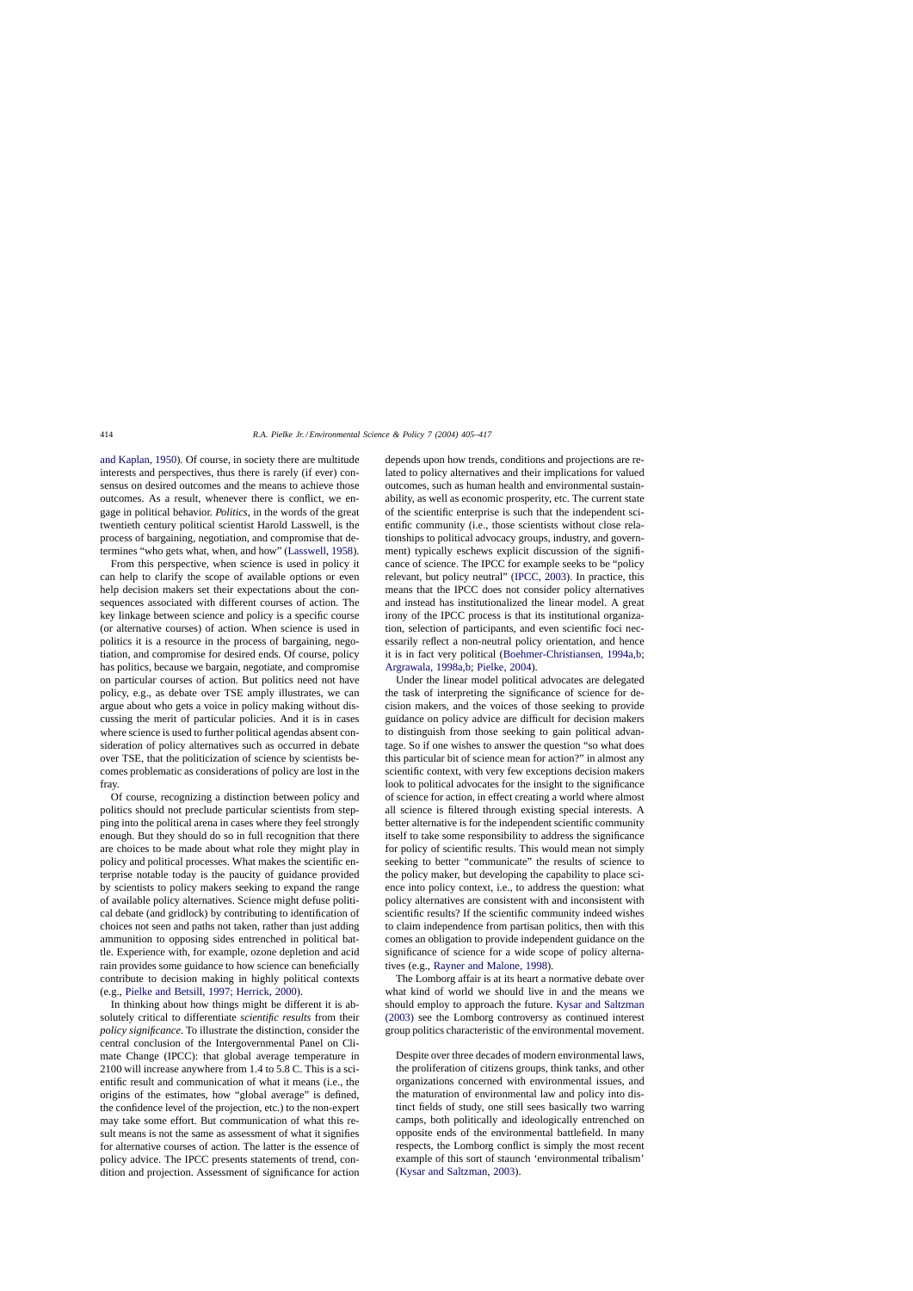[and Kaplan, 1950\).](#page-11-0) Of course, in society there are multitude interests and perspectives, thus there is rarely (if ever) consensus on desired outcomes and the means to achieve those outcomes. As a result, whenever there is conflict, we engage in political behavior. *Politics*, in the words of the great twentieth century political scientist Harold Lasswell, is the process of bargaining, negotiation, and compromise that determines "who gets what, when, and how" ([Lasswell, 1958\).](#page-11-0)

From this perspective, when science is used in policy it can help to clarify the scope of available options or even help decision makers set their expectations about the consequences associated with different courses of action. The key linkage between science and policy is a specific course (or alternative courses) of action. When science is used in politics it is a resource in the process of bargaining, negotiation, and compromise for desired ends. Of course, policy has politics, because we bargain, negotiate, and compromise on particular courses of action. But politics need not have policy, e.g., as debate over TSE amply illustrates, we can argue about who gets a voice in policy making without discussing the merit of particular policies. And it is in cases where science is used to further political agendas absent consideration of policy alternatives such as occurred in debate over TSE, that the politicization of science by scientists becomes problematic as considerations of policy are lost in the fray.

Of course, recognizing a distinction between policy and politics should not preclude particular scientists from stepping into the political arena in cases where they feel strongly enough. But they should do so in full recognition that there are choices to be made about what role they might play in policy and political processes. What makes the scientific enterprise notable today is the paucity of guidance provided by scientists to policy makers seeking to expand the range of available policy alternatives. Science might defuse political debate (and gridlock) by contributing to identification of choices not seen and paths not taken, rather than just adding ammunition to opposing sides entrenched in political battle. Experience with, for example, ozone depletion and acid rain provides some guidance to how science can beneficially contribute to decision making in highly political contexts (e.g., [Pielke and Betsill, 1997; Herrick, 2000\).](#page-11-0)

In thinking about how things might be different it is absolutely critical to differentiate *scientific results* from their *policy significance*. To illustrate the distinction, consider the central conclusion of the Intergovernmental Panel on Climate Change (IPCC): that global average temperature in 2100 will increase anywhere from 1.4 to 5.8 C. This is a scientific result and communication of what it means (i.e., the origins of the estimates, how "global average" is defined, the confidence level of the projection, etc.) to the non-expert may take some effort. But communication of what this result means is not the same as assessment of what it signifies for alternative courses of action. The latter is the essence of policy advice. The IPCC presents statements of trend, condition and projection. Assessment of significance for action depends upon how trends, conditions and projections are related to policy alternatives and their implications for valued outcomes, such as human health and environmental sustainability, as well as economic prosperity, etc. The current state of the scientific enterprise is such that the independent scientific community (i.e., those scientists without close relationships to political advocacy groups, industry, and government) typically eschews explicit discussion of the significance of science. The IPCC for example seeks to be "policy relevant, but policy neutral" ([IPCC, 2003\).](#page-11-0) In practice, this means that the IPCC does not consider policy alternatives and instead has institutionalized the linear model. A great irony of the IPCC process is that its institutional organization, selection of participants, and even scientific foci necessarily reflect a non-neutral policy orientation, and hence it is in fact very political [\(Boehmer-Christiansen, 1994a,b;](#page-10-0) [Argrawala, 1998a,b;](#page-10-0) [Pielke, 2004\).](#page-11-0)

Under the linear model political advocates are delegated the task of interpreting the significance of science for decision makers, and the voices of those seeking to provide guidance on policy advice are difficult for decision makers to distinguish from those seeking to gain political advantage. So if one wishes to answer the question "so what does this particular bit of science mean for action?" in almost any scientific context, with very few exceptions decision makers look to political advocates for the insight to the significance of science for action, in effect creating a world where almost all science is filtered through existing special interests. A better alternative is for the independent scientific community itself to take some responsibility to address the significance for policy of scientific results. This would mean not simply seeking to better "communicate" the results of science to the policy maker, but developing the capability to place science into policy context, i.e., to address the question: what policy alternatives are consistent with and inconsistent with scientific results? If the scientific community indeed wishes to claim independence from partisan politics, then with this comes an obligation to provide independent guidance on the significance of science for a wide scope of policy alternatives (e.g., [Rayner and Malone, 1998\).](#page-11-0)

The Lomborg affair is at its heart a normative debate over what kind of world we should live in and the means we should employ to approach the future. [Kysar and Saltzman](#page-11-0) [\(2003\)](#page-11-0) see the Lomborg controversy as continued interest group politics characteristic of the environmental movement.

Despite over three decades of modern environmental laws, the proliferation of citizens groups, think tanks, and other organizations concerned with environmental issues, and the maturation of environmental law and policy into distinct fields of study, one still sees basically two warring camps, both politically and ideologically entrenched on opposite ends of the environmental battlefield. In many respects, the Lomborg conflict is simply the most recent example of this sort of staunch 'environmental tribalism' ([Kysar and Saltzman, 2003\).](#page-11-0)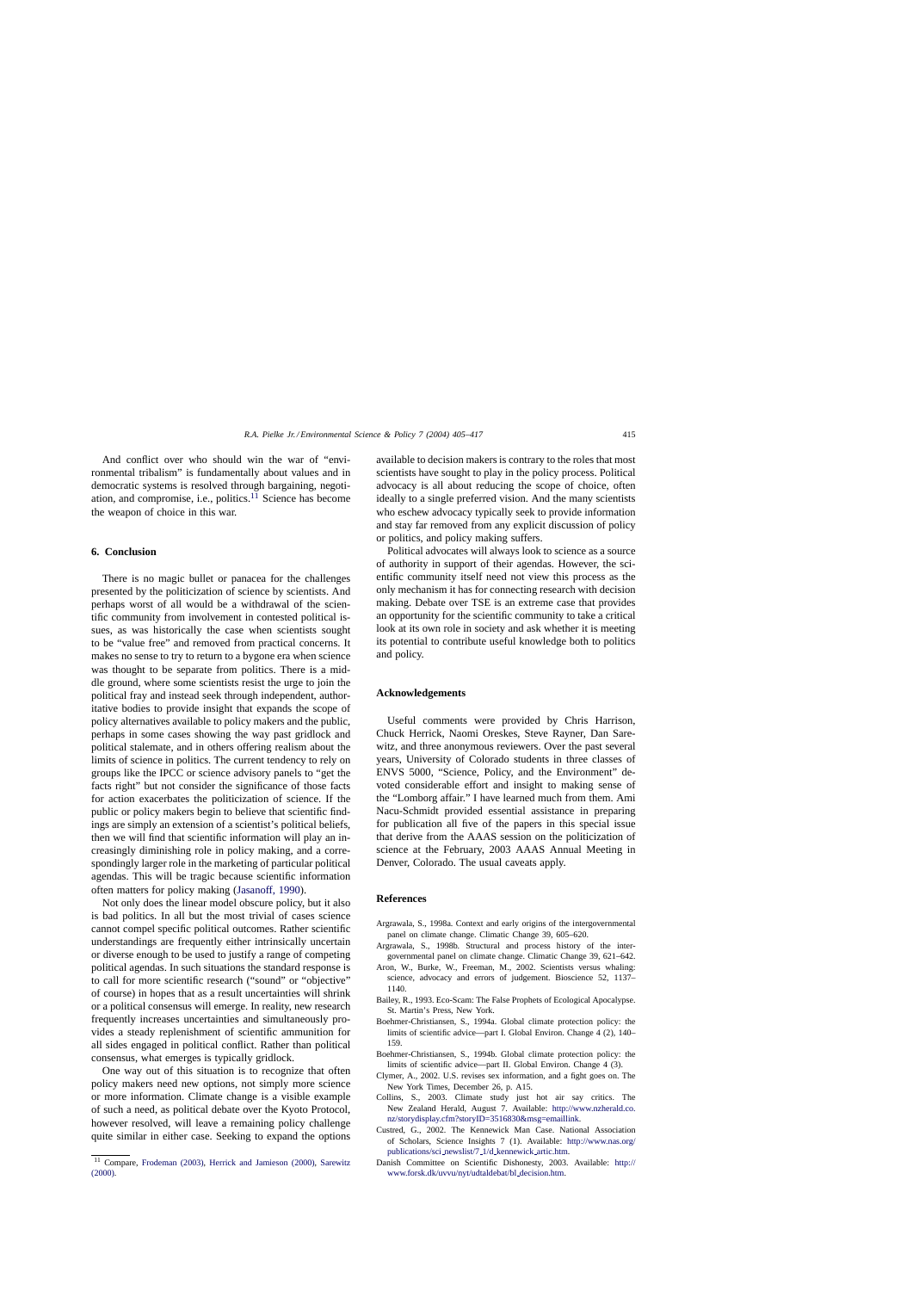## <span id="page-10-0"></span>**6. Conclusion**

There is no magic bullet or panacea for the challenges presented by the politicization of science by scientists. And perhaps worst of all would be a withdrawal of the scientific community from involvement in contested political issues, as was historically the case when scientists sought to be "value free" and removed from practical concerns. It makes no sense to try to return to a bygone era when science was thought to be separate from politics. There is a middle ground, where some scientists resist the urge to join the political fray and instead seek through independent, authoritative bodies to provide insight that expands the scope of policy alternatives available to policy makers and the public, perhaps in some cases showing the way past gridlock and political stalemate, and in others offering realism about the limits of science in politics. The current tendency to rely on groups like the IPCC or science advisory panels to "get the facts right" but not consider the significance of those facts for action exacerbates the politicization of science. If the public or policy makers begin to believe that scientific findings are simply an extension of a scientist's political beliefs, then we will find that scientific information will play an increasingly diminishing role in policy making, and a correspondingly larger role in the marketing of particular political agendas. This will be tragic because scientific information often matters for policy making ([Jasanoff, 1990\).](#page-11-0)

Not only does the linear model obscure policy, but it also is bad politics. In all but the most trivial of cases science cannot compel specific political outcomes. Rather scientific understandings are frequently either intrinsically uncertain or diverse enough to be used to justify a range of competing political agendas. In such situations the standard response is to call for more scientific research ("sound" or "objective" of course) in hopes that as a result uncertainties will shrink or a political consensus will emerge. In reality, new research frequently increases uncertainties and simultaneously provides a steady replenishment of scientific ammunition for all sides engaged in political conflict. Rather than political consensus, what emerges is typically gridlock.

One way out of this situation is to recognize that often policy makers need new options, not simply more science or more information. Climate change is a visible example of such a need, as political debate over the Kyoto Protocol, however resolved, will leave a remaining policy challenge quite similar in either case. Seeking to expand the options available to decision makers is contrary to the roles that most scientists have sought to play in the policy process. Political advocacy is all about reducing the scope of choice, often ideally to a single preferred vision. And the many scientists who eschew advocacy typically seek to provide information and stay far removed from any explicit discussion of policy or politics, and policy making suffers.

Political advocates will always look to science as a source of authority in support of their agendas. However, the scientific community itself need not view this process as the only mechanism it has for connecting research with decision making. Debate over TSE is an extreme case that provides an opportunity for the scientific community to take a critical look at its own role in society and ask whether it is meeting its potential to contribute useful knowledge both to politics and policy.

## **Acknowledgements**

Useful comments were provided by Chris Harrison, Chuck Herrick, Naomi Oreskes, Steve Rayner, Dan Sarewitz, and three anonymous reviewers. Over the past several years, University of Colorado students in three classes of ENVS 5000, "Science, Policy, and the Environment" devoted considerable effort and insight to making sense of the "Lomborg affair." I have learned much from them. Ami Nacu-Schmidt provided essential assistance in preparing for publication all five of the papers in this special issue that derive from the AAAS session on the politicization of science at the February, 2003 AAAS Annual Meeting in Denver, Colorado. The usual caveats apply.

#### **References**

- Argrawala, S., 1998a. Context and early origins of the intergovernmental panel on climate change. Climatic Change 39, 605–620.
- Argrawala, S., 1998b. Structural and process history of the intergovernmental panel on climate change. Climatic Change 39, 621–642.
- Aron, W., Burke, W., Freeman, M., 2002. Scientists versus whaling: science, advocacy and errors of judgement. Bioscience 52, 1137– 1140.
- Bailey, R., 1993. Eco-Scam: The False Prophets of Ecological Apocalypse. St. Martin's Press, New York.
- Boehmer-Christiansen, S., 1994a. Global climate protection policy: the limits of scientific advice—part I. Global Environ. Change 4 (2), 140– 159.
- Boehmer-Christiansen, S., 1994b. Global climate protection policy: the limits of scientific advice—part II. Global Environ. Change 4 (3).
- Clymer, A., 2002. U.S. revises sex information, and a fight goes on. The New York Times, December 26, p. A15.
- Collins, S., 2003. Climate study just hot air say critics. The New Zealand Herald, August 7. Available: [http://www.nzherald.co.](http://www.nzherald.co.nz/storydisplay.cfm?storyID=3516830&msg=emaillink) [nz/storydisplay.cfm?storyID=3516830&msg=emaillink](http://www.nzherald.co.nz/storydisplay.cfm?storyID=3516830&msg=emaillink).
- Custred, G., 2002. The Kennewick Man Case. National Association of Scholars, Science Insights 7 (1). Available: [http://www.nas.org/](http://www.nas.org/publications/sci_newslist/7_1/d_kennewick_artic.htm) [publications/sci](http://www.nas.org/publications/sci_newslist/7_1/d_kennewick_artic.htm) newslist/7 1/d kennewick artic.htm.
- Danish Committee on Scientific Dishonesty, 2003. Available: [http://](http://www.forsk.dk/uvvu/nyt/udtaldebat/bl_decision.htm) [www.forsk.dk/uvvu/nyt/udtaldebat/bl](http://www.forsk.dk/uvvu/nyt/udtaldebat/bl_decision.htm) decision.htm.

<sup>&</sup>lt;sup>11</sup> Compare, [Frodeman \(2003\),](#page-11-0) [Herrick and Jamieson \(2000\),](#page-11-0) [Sarewitz](#page-11-0) [\(2000\).](#page-11-0)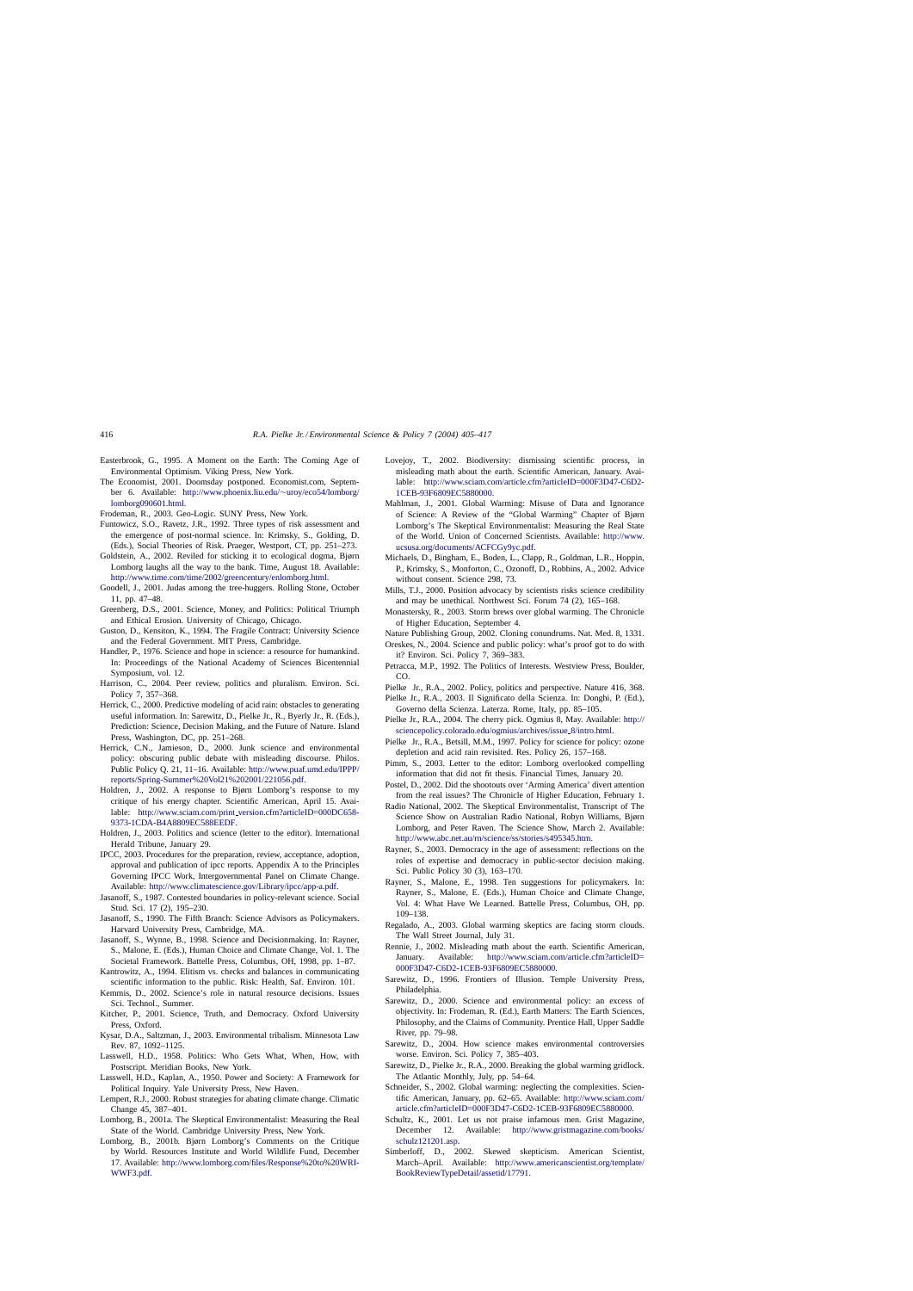- <span id="page-11-0"></span>Easterbrook, G., 1995. A Moment on the Earth: The Coming Age of Environmental Optimism. Viking Press, New York.
- The Economist, 2001. Doomsday postponed. Economist.com, September 6. Available: [http://www.phoenix.liu.edu/](http://www.phoenix.liu.edu/~uroy/eco54/lomborg/lomborg090601.html)∼uroy/eco54/lomborg/ [lomborg090601.html.](http://www.phoenix.liu.edu/~uroy/eco54/lomborg/lomborg090601.html)
- Frodeman, R., 2003. Geo-Logic. SUNY Press, New York.
- Funtowicz, S.O., Ravetz, J.R., 1992. Three types of risk assessment and the emergence of post-normal science. In: Krimsky, S., Golding, D. (Eds.), Social Theories of Risk. Praeger, Westport, CT, pp. 251–273.
- Goldstein, A., 2002. Reviled for sticking it to ecological dogma, Bjørn Lomborg laughs all the way to the bank. Time, August 18. Available: [http://www.time.com/time/2002/greencentury/enlomborg.html.](http://www.time.com/time/2002/greencentury/enlomborg.html)
- Goodell, J., 2001. Judas among the tree-huggers. Rolling Stone, October 11, pp. 47–48.
- Greenberg, D.S., 2001. Science, Money, and Politics: Political Triumph and Ethical Erosion. University of Chicago, Chicago.
- Guston, D., Kensiton, K., 1994. The Fragile Contract: University Science and the Federal Government. MIT Press, Cambridge.
- Handler, P., 1976. Science and hope in science: a resource for humankind. In: Proceedings of the National Academy of Sciences Bicentennial Symposium, vol. 12.
- Harrison, C., 2004. Peer review, politics and pluralism. Environ. Sci. Policy 7, 357–368.
- Herrick, C., 2000. Predictive modeling of acid rain: obstacles to generating useful information. In: Sarewitz, D., Pielke Jr., R., Byerly Jr., R. (Eds.), Prediction: Science, Decision Making, and the Future of Nature. Island Press, Washington, DC, pp. 251–268.
- Herrick, C.N., Jamieson, D., 2000. Junk science and environmental policy: obscuring public debate with misleading discourse. Philos. Public Policy Q. 21, 11–16. Available: [http://www.puaf.umd.edu/IPPP/](http://www.puaf.umd.edu/IPPP/reports/Spring-Summer%20Vol21%202001/221056.pdf) [reports/Spring-Summer%20Vol21%202001/221056.pdf](http://www.puaf.umd.edu/IPPP/reports/Spring-Summer%20Vol21%202001/221056.pdf).
- Holdren, J., 2002. A response to Bjørn Lomborg's response to my critique of his energy chapter. Scientific American, April 15. Available: http://www.sciam.com/print\_[version.cfm?articleID=000DC658-](http://www.sciam.com/print_version.cfm?articleID=000DC658-9373-1CDA-B4A8809EC588EEDF) [9373-1CDA-B4A8809EC588EEDF](http://www.sciam.com/print_version.cfm?articleID=000DC658-9373-1CDA-B4A8809EC588EEDF).
- Holdren, J., 2003. Politics and science (letter to the editor). International Herald Tribune, January 29.
- IPCC, 2003. Procedures for the preparation, review, acceptance, adoption, approval and publication of ipcc reports. Appendix A to the Principles Governing IPCC Work, Intergovernmental Panel on Climate Change. Available: [http://www.climatescience.gov/Library/ipcc/app-a.pdf.](http://www.climatescience.gov/Library/ipcc/app-a.pdf)
- Jasanoff, S., 1987. Contested boundaries in policy-relevant science. Social Stud. Sci. 17 (2), 195–230.
- Jasanoff, S., 1990. The Fifth Branch: Science Advisors as Policymakers. Harvard University Press, Cambridge, MA.
- Jasanoff, S., Wynne, B., 1998. Science and Decisionmaking. In: Rayner, S., Malone, E. (Eds.), Human Choice and Climate Change, Vol. 1. The Societal Framework. Battelle Press, Columbus, OH, 1998, pp. 1–87.
- Kantrowitz, A., 1994. Elitism vs. checks and balances in communicating scientific information to the public. Risk: Health, Saf. Environ. 101.
- Kemmis, D., 2002. Science's role in natural resource decisions. Issues Sci. Technol., Summer.
- Kitcher, P., 2001. Science, Truth, and Democracy. Oxford University Press, Oxford.
- Kysar, D.A., Saltzman, J., 2003. Environmental tribalism. Minnesota Law Rev. 87, 1092–1125.
- Lasswell, H.D., 1958. Politics: Who Gets What, When, How, with Postscript. Meridian Books, New York.
- Lasswell, H.D., Kaplan, A., 1950. Power and Society: A Framework for Political Inquiry. Yale University Press, New Haven.
- Lempert, R.J., 2000. Robust strategies for abating climate change. Climatic Change 45, 387–401.
- Lomborg, B., 2001a. The Skeptical Environmentalist: Measuring the Real State of the World. Cambridge University Press, New York.
- Lomborg, B., 2001b. Bjørn Lomborg's Comments on the Critique by World. Resources Institute and World Wildlife Fund, December 17. Available: [http://www.lomborg.com/files/Response%20to%20WRI-](http://www.lomborg.com/files/Response%20to%20WRI-WWF3.pdf)WWF3.pdf.
- Lovejoy, T., 2002. Biodiversity: dismissing scientific process, in misleading math about the earth. Scientific American, January. Available: [http://www.sciam.com/article.cfm?articleID=000F3D47-C6D2-](http://www.sciam.com/article.cfm?articleID=000F3D47-C6D2-1CEB-93F6809EC5880000) [1CEB-93F6809EC5880000.](http://www.sciam.com/article.cfm?articleID=000F3D47-C6D2-1CEB-93F6809EC5880000)
- Mahlman, J., 2001. Global Warming: Misuse of Data and Ignorance of Science: A Review of the "Global Warming" Chapter of Bjørn Lomborg's The Skeptical Environmentalist: Measuring the Real State of the World. Union of Concerned Scientists. Available: [http://www.](http://www.ucsusa.org/documents/ACFCGy9yc.pdf) [ucsusa.org/documents/ACFCGy9yc.pdf](http://www.ucsusa.org/documents/ACFCGy9yc.pdf).
- Michaels, D., Bingham, E., Boden, L., Clapp, R., Goldman, L.R., Hoppin, P., Krimsky, S., Monforton, C., Ozonoff, D., Robbins, A., 2002. Advice without consent. Science 298, 73.
- Mills, T.J., 2000. Position advocacy by scientists risks science credibility and may be unethical. Northwest Sci. Forum 74 (2), 165–168.
- Monastersky, R., 2003. Storm brews over global warming. The Chronicle of Higher Education, September 4.
- Nature Publishing Group, 2002. Cloning conundrums. Nat. Med. 8, 1331.
- Oreskes, N., 2004. Science and public policy: what's proof got to do with it? Environ. Sci. Policy 7, 369–383.
- Petracca, M.P., 1992. The Politics of Interests. Westview Press, Boulder, CO.
- Pielke Jr., R.A., 2002. Policy, politics and perspective. Nature 416, 368.
- Pielke Jr., R.A., 2003. Il Significato della Scienza. In: Donghi, P. (Ed.), Governo della Scienza. Laterza. Rome, Italy, pp. 85–105.
- Pielke Jr., R.A., 2004. The cherry pick. Ogmius 8, May. Available: [http://](http://sciencepolicy.colorado.edu/ogmius/archives/issue_8/intro.html) [sciencepolicy.colorado.edu/ogmius/archives/issue](http://sciencepolicy.colorado.edu/ogmius/archives/issue_8/intro.html) 8/intro.html.
- Pielke Jr., R.A., Betsill, M.M., 1997. Policy for science for policy: ozone depletion and acid rain revisited. Res. Policy 26, 157–168.
- Pimm, S., 2003. Letter to the editor: Lomborg overlooked compelling information that did not fit thesis. Financial Times, January 20.
- Postel, D., 2002. Did the shootouts over 'Arming America' divert attention from the real issues? The Chronicle of Higher Education, February 1.
- Radio National, 2002. The Skeptical Environmentalist, Transcript of The Science Show on Australian Radio National, Robyn Williams, Bjørn Lomborg, and Peter Raven. The Science Show, March 2. Available: <http://www.abc.net.au/rn/science/ss/stories/s495345.htm>.
- Rayner, S., 2003. Democracy in the age of assessment: reflections on the roles of expertise and democracy in public-sector decision making. Sci. Public Policy 30 (3), 163–170.
- Rayner, S., Malone, E., 1998. Ten suggestions for policymakers. In: Rayner, S., Malone, E. (Eds.), Human Choice and Climate Change, Vol. 4: What Have We Learned. Battelle Press, Columbus, OH, pp. 109–138.
- Regalado, A., 2003. Global warming skeptics are facing storm clouds. The Wall Street Journal, July 31.
- Rennie, J., 2002. Misleading math about the earth. Scientific American, January. Available: [http://www.sciam.com/article.cfm?articleID=](http://www.sciam.com/article.cfm?articleID=000F3D47-C6D2-1CEB-93F6809EC5880000) [000F3D47-C6D2-1CEB-93F6809EC5880000](http://www.sciam.com/article.cfm?articleID=000F3D47-C6D2-1CEB-93F6809EC5880000).
- Sarewitz, D., 1996. Frontiers of Illusion. Temple University Press, Philadelphia.
- Sarewitz, D., 2000. Science and environmental policy: an excess of objectivity. In: Frodeman, R. (Ed.), Earth Matters: The Earth Sciences, Philosophy, and the Claims of Community. Prentice Hall, Upper Saddle River, pp. 79–98.
- Sarewitz, D., 2004. How science makes environmental controversies worse. Environ. Sci. Policy 7, 385–403.
- Sarewitz, D., Pielke Jr., R.A., 2000. Breaking the global warming gridlock. The Atlantic Monthly, July, pp. 54–64.
- Schneider, S., 2002. Global warming: neglecting the complexities. Scientific American, January, pp. 62–65. Available: [http://www.sciam.com/](http://www.sciam.com/article.cfm?articleID=000F3D47-C6D2-1CEB-93F6809EC5880000) [article.cfm?articleID=000F3D47-C6D2-1CEB-93F6809EC5880000](http://www.sciam.com/article.cfm?articleID=000F3D47-C6D2-1CEB-93F6809EC5880000).
- Schultz, K., 2001. Let us not praise infamous men. Grist Magazine, December 12. Available: [http://www.gristmagazine.com/books/](http://www.gristmagazine.com/books/schulz121201.asp) [schulz121201.asp](http://www.gristmagazine.com/books/schulz121201.asp).
- Simberloff, D., 2002. Skewed skepticism. American Scientist, March–April. Available: [http://www.americanscientist.org/template/](http://www.americanscientist.org/template/BookReviewTypeDetail/assetid/17791) [BookReviewTypeDetail/assetid/17791.](http://www.americanscientist.org/template/BookReviewTypeDetail/assetid/17791)